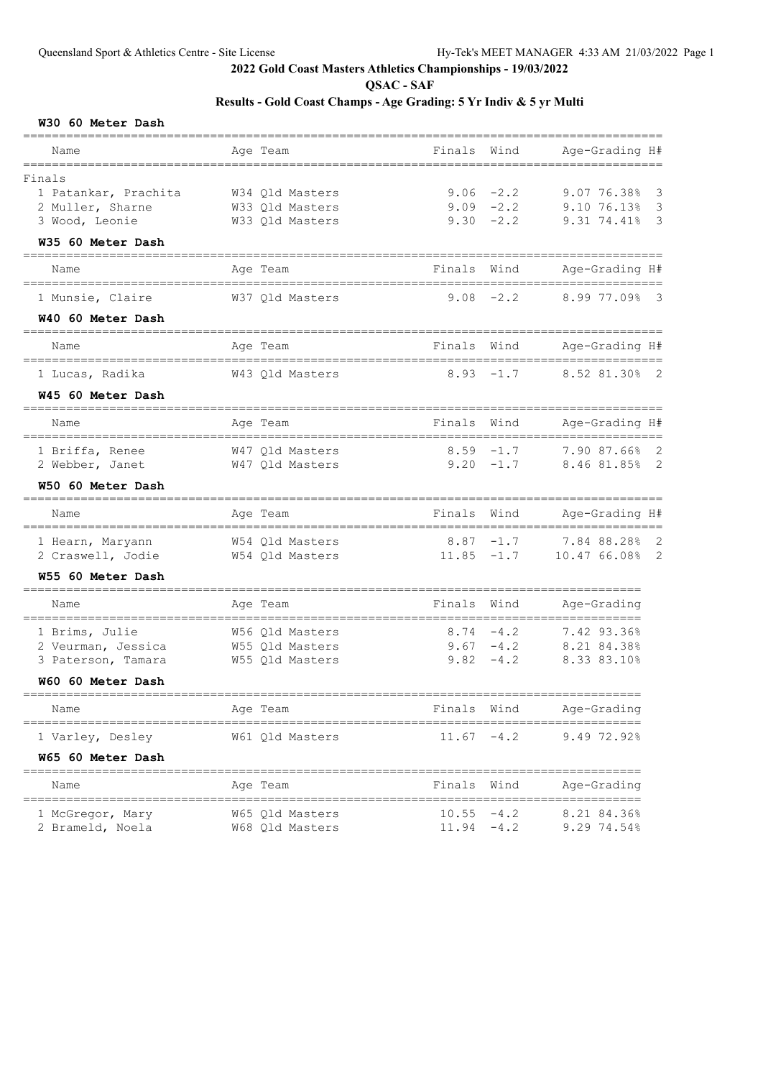**QSAC - SAF**

## **Results - Gold Coast Champs - Age Grading: 5 Yr Indiv & 5 yr Multi**

#### **W30 60 Meter Dash**

| Name                                                                                      | Age Team                                                          | Finals                                      | Wind                                        | Age-Grading H#                                   |
|-------------------------------------------------------------------------------------------|-------------------------------------------------------------------|---------------------------------------------|---------------------------------------------|--------------------------------------------------|
| Finals<br>1 Patankar, Prachita<br>2 Muller, Sharne<br>3 Wood, Leonie<br>W35 60 Meter Dash | W34 Qld Masters<br>W33 Qld Masters<br>W33 Qld Masters             |                                             | $9.06 - 2.2$<br>$9.09 - 2.2$<br>$9.30 -2.2$ | 9.07 76.38% 3<br>9.10 76.13% 3<br>9.31 74.41% 3  |
| Name                                                                                      | Age Team                                                          | Finals                                      | Wind                                        | Age-Grading H#                                   |
| 1 Munsie, Claire                                                                          | W37 Qld Masters                                                   |                                             | $9.08 - 2.2$                                | 8.99 77.09% 3                                    |
| W40 60 Meter Dash                                                                         |                                                                   |                                             |                                             |                                                  |
| Name                                                                                      | Age Team                                                          | Finals                                      | Wind                                        | Age-Grading H#                                   |
| 1 Lucas, Radika<br>W45 60 Meter Dash                                                      | W43 Qld Masters                                                   |                                             | $8.93 - 1.7$                                | 8.52 81.30% 2                                    |
|                                                                                           |                                                                   |                                             |                                             |                                                  |
| Name                                                                                      | Age Team                                                          | Finals                                      | Wind                                        | Age-Grading H#                                   |
| 1 Briffa, Renee<br>2 Webber, Janet                                                        | W47 Qld Masters<br>W47 Qld Masters                                | $8.59 - 1.7$<br>$9.20 -1.7$                 |                                             | 7.90 87.66% 2<br>8.46 81.85% 2                   |
| W50 60 Meter Dash<br>________________________                                             | ===========================                                       |                                             |                                             |                                                  |
| Name                                                                                      | Age Team                                                          | Finals                                      | Wind                                        | Age-Grading H#                                   |
| 1 Hearn, Maryann<br>2 Craswell, Jodie                                                     | W54 Qld Masters<br>W54 Qld Masters                                | $8.87 - 1.7$<br>$11.85 - 1.7$               |                                             | 7.84 88.28% 2<br>10.47 66.08% 2                  |
| W55 60 Meter Dash                                                                         |                                                                   |                                             |                                             | _____________________                            |
| Name                                                                                      | Age Team                                                          | Finals                                      | Wind                                        | Age-Grading                                      |
| 1 Brims, Julie<br>2 Veurman, Jessica<br>3 Paterson, Tamara<br>W60 60 Meter Dash           | W56 Qld Masters<br>W55 Qld Masters<br>W55 Qld Masters             | $9.67 - 4.2$                                | $8.74 - 4.2$<br>$9.82 - 4.2$                | 7.42 93.36%<br>8.21 84.38%<br>8.33 83.10%        |
| ===============<br>Name                                                                   | Age Team                                                          | Finals                                      | Wind                                        | Age-Grading                                      |
| ============================<br>1 Varley, Desley<br>W65 60 Meter Dash                     | W61 Qld Masters                                                   | $11.67 - 4.2$                               |                                             | 9.49 72.92%                                      |
| Name                                                                                      | ==============<br>Age Team                                        | Finals                                      | Wind                                        | Age-Grading                                      |
| ------------------------<br>1 McGregor, Mary<br>2 Brameld, Noela                          | ___________________________<br>W65 Qld Masters<br>W68 Qld Masters | =================<br>10.55<br>$11.94 - 4.2$ | $-4.2$                                      | ==================<br>8.21 84.36%<br>9.29 74.54% |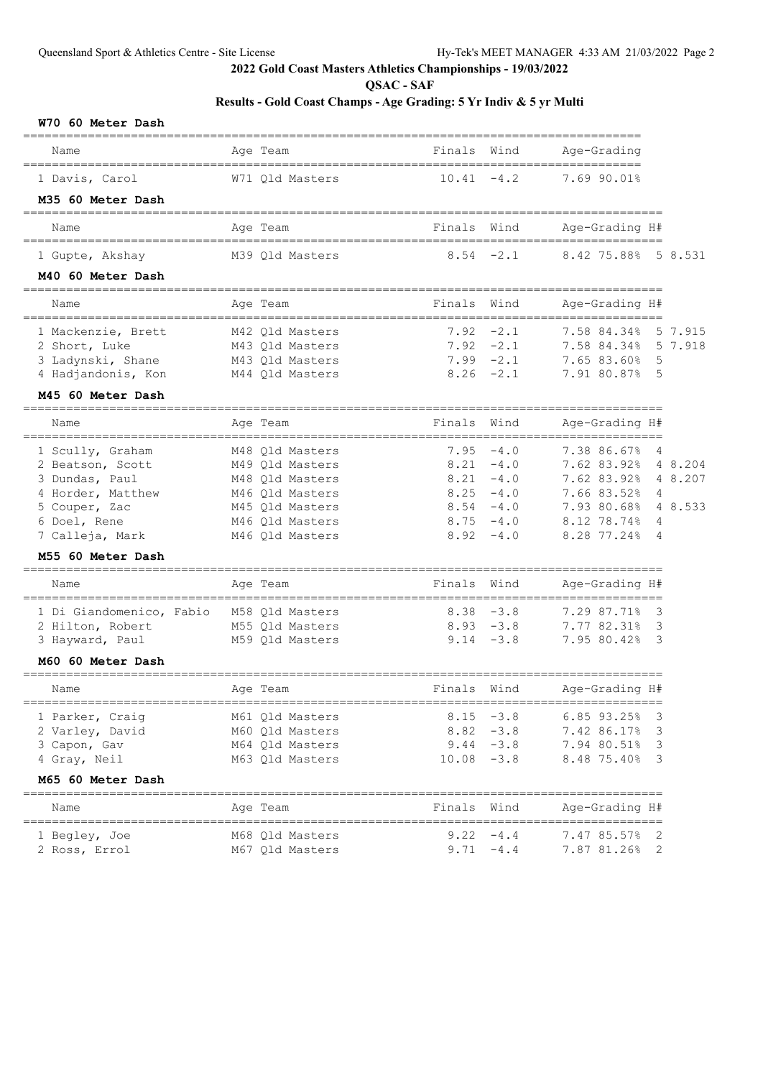**QSAC - SAF**

| W70 60 Meter Dash |  |  |  |  |
|-------------------|--|--|--|--|
|-------------------|--|--|--|--|

| Name                          | Age Team        | Finals        | Wind         | Age-Grading                               |         |
|-------------------------------|-----------------|---------------|--------------|-------------------------------------------|---------|
| 1 Davis, Carol                | W71 Qld Masters | 10.41         | $-4.2$       | 7.69 90.01%                               |         |
| M35 60 Meter Dash             |                 |               |              |                                           |         |
| Name                          | Age Team        | Finals        | Wind         | Age-Grading H#                            |         |
| 1 Gupte, Akshay               | M39 Qld Masters | $8.54 - 2.1$  |              | 8.42 75.88%                               | 5 8.531 |
| M40 60 Meter Dash             |                 |               |              |                                           |         |
| Name                          | Age Team        | Finals        | Wind         | Age-Grading H#                            |         |
| 1 Mackenzie, Brett            | M42 Qld Masters | 7.92          | $-2.1$       | 7.58 84.34%                               | 5 7.915 |
| 2 Short, Luke                 | M43 Qld Masters | $7.92 -2.1$   |              | 7.58 84.34%                               | 5 7.918 |
| 3 Ladynski, Shane             | M43 Qld Masters | $7.99 - 2.1$  |              | 7.65 83.60%                               | 5       |
| 4 Hadjandonis, Kon            | M44 Qld Masters | $8.26 - 2.1$  |              | 7.91 80.87% 5                             |         |
| M45 60 Meter Dash             |                 |               |              |                                           |         |
| Name<br>===================== | Age Team        | Finals        | Wind         | Age-Grading H#                            |         |
| 1 Scully, Graham              | M48 Old Masters | 7.95          | $-4.0$       | 7.38 86.67%                               | 4       |
| 2 Beatson, Scott              | M49 Qld Masters | 8.21          | $-4.0$       | 7.62 83.92%                               | 4 8.204 |
| 3 Dundas, Paul                | M48 Qld Masters | 8.21          | $-4.0$       | 7.62 83.92%                               | 4 8.207 |
| 4 Horder, Matthew             | M46 Old Masters | $8.25 - 4.0$  |              | 7.66 83.52%                               | 4       |
| 5 Couper, Zac                 | M45 Qld Masters | $8.54 - 4.0$  |              | 7.93 80.68%                               | 4 8.533 |
| 6 Doel, Rene                  | M46 Qld Masters | 8.75          | $-4.0$       | 8.12 78.74%                               | 4       |
| 7 Calleja, Mark               | M46 Qld Masters | 8.92          | $-4.0$       | 8.28 77.24%                               | 4       |
| M55 60 Meter Dash             |                 |               |              |                                           |         |
| Name                          | Age Team        | Finals        | Wind         | Age-Grading H#                            |         |
|                               |                 |               |              |                                           |         |
| 1 Di Giandomenico, Fabio      | M58 Qld Masters | $8.38 - 3.8$  |              | 7.29 87.71%                               | 3       |
| 2 Hilton, Robert              | M55 Qld Masters | $8.93 - 3.8$  |              | 7.77 82.31%                               | 3       |
| 3 Hayward, Paul               | M59 Qld Masters | $9.14 - 3.8$  |              | 7.95 80.42%                               | 3       |
| M60 60 Meter Dash             |                 |               |              |                                           |         |
| Name                          | Age Team        | Finals        | Wind         | Age-Grading H#                            |         |
| 1 Parker, Craig               | M61 Qld Masters |               | $8.15 - 3.8$ | $6.85$ $93.25%$                           | 3       |
| 2 Varley, David               | M60 Qld Masters |               | $8.82 - 3.8$ | 7.42 86.17%                               | 3       |
| 3 Capon, Gav                  | M64 Qld Masters |               | $9.44 - 3.8$ | 7.94 80.51%                               | 3       |
| 4 Gray, Neil                  | M63 Qld Masters | $10.08 - 3.8$ |              | 8.48 75.40% 3                             |         |
| M65 60 Meter Dash             |                 |               |              |                                           |         |
| Name                          | Age Team        | Finals Wind   |              | _______________________<br>Age-Grading H# |         |
| 1 Begley, Joe                 | M68 Qld Masters |               | $9.22 - 4.4$ | 7.47 85.57% 2                             |         |
| 2 Ross, Errol                 | M67 Qld Masters | $9.71 - 4.4$  |              | 7.87 81.26% 2                             |         |
|                               |                 |               |              |                                           |         |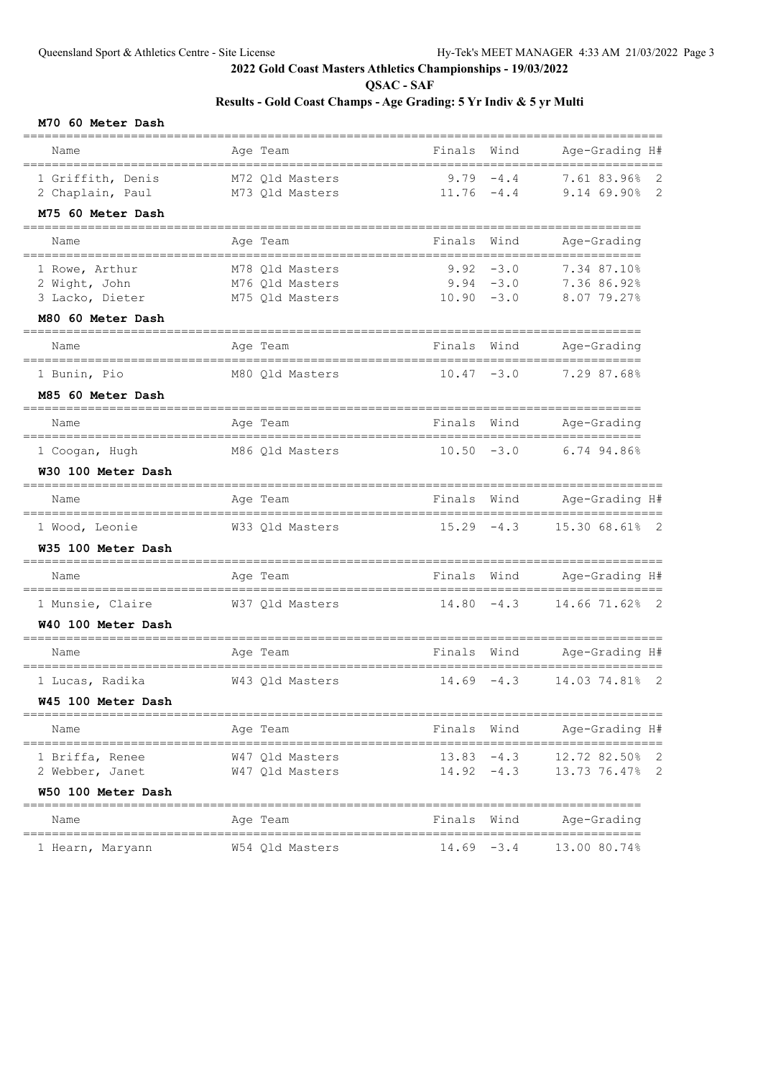**QSAC - SAF**

## **Results - Gold Coast Champs - Age Grading: 5 Yr Indiv & 5 yr Multi**

**M70 60 Meter Dash**

| Name                             | Age Team                                                  | Finals                        | Wind   | Age-Grading H#                                  |
|----------------------------------|-----------------------------------------------------------|-------------------------------|--------|-------------------------------------------------|
| 1 Griffith, Denis                | M72 Qld Masters                                           | 9.79                          | $-4.4$ | 7.61 83.96%<br>2                                |
| 2 Chaplain, Paul                 | M73 Qld Masters                                           | 11.76                         | $-4.4$ | $\mathbf{2}$<br>9.14 69.90%                     |
| M75 60 Meter Dash                |                                                           |                               |        |                                                 |
| Name                             | Age Team                                                  | Finals                        | Wind   | Age-Grading<br>==============                   |
| 1 Rowe, Arthur                   | M78 Old Masters                                           | 9.92                          | $-3.0$ | 7.34 87.10%                                     |
| 2 Wight, John<br>3 Lacko, Dieter | M76 Qld Masters<br>M75 Old Masters                        | $9.94 - 3.0$<br>$10.90 - 3.0$ |        | 7.36 86.92%<br>8.07 79.27%                      |
| M80 60 Meter Dash                |                                                           |                               |        |                                                 |
|                                  |                                                           |                               |        |                                                 |
| Name                             | Age Team                                                  | Finals                        | Wind   | Age-Grading<br>-------------------              |
| 1 Bunin, Pio                     | M80 Qld Masters                                           | $10.47 - 3.0$                 |        | 7.29 87.68%                                     |
| M85 60 Meter Dash                |                                                           |                               |        |                                                 |
| Name                             | Age Team                                                  | Finals                        | Wind   | Age-Grading<br>====================             |
| 1 Coogan, Hugh                   | M86 Qld Masters                                           | $10.50 - 3.0$                 |        | 6.74 94.86%                                     |
| W30 100 Meter Dash               |                                                           |                               |        |                                                 |
| Name                             | Age Team                                                  | Finals                        | Wind   | Age-Grading H#                                  |
| 1 Wood, Leonie                   | W33 Qld Masters                                           | $15.29 - 4.3$                 |        | 15.30 68.61%<br>$\overline{\phantom{2}}$        |
| W35 100 Meter Dash               |                                                           |                               |        |                                                 |
| ___________________<br>Name      | ----------------------------<br>Age Team                  | Finals Wind<br>-----          |        | _____________________________<br>Age-Grading H# |
| 1 Munsie, Claire                 | ______________________________________<br>W37 Qld Masters | 14.80                         | $-4.3$ | 14.66 71.62%<br>$\overline{2}$                  |
| W40 100 Meter Dash               |                                                           |                               |        |                                                 |
| ----------------------<br>Name   | ===============<br>Age Team                               | Finals Wind                   |        | ________________________<br>Age-Grading H#      |
| 1 Lucas, Radika                  | W43 Qld Masters                                           | 14.69                         | $-4.3$ | 14.03 74.81%<br>2                               |
| W45 100 Meter Dash               |                                                           |                               |        |                                                 |
| Name                             | Age Team                                                  | Finals Wind                   |        | ===============<br>Age-Grading H#               |
| 1 Briffa, Renee                  | W47 Qld Masters                                           | $13.83 - 4.3$                 |        | 12.72 82.50%<br>2                               |
| 2 Webber, Janet                  | W47 Qld Masters                                           | $14.92 - 4.3$                 |        | $\overline{2}$<br>13.73 76.47%                  |
| W50 100 Meter Dash               |                                                           |                               |        |                                                 |
| Name                             | Age Team                                                  | Finals Wind                   |        | Age-Grading                                     |
| 1 Hearn, Maryann                 | W54 Qld Masters                                           | $14.69 - 3.4$                 |        | 13.00 80.74%                                    |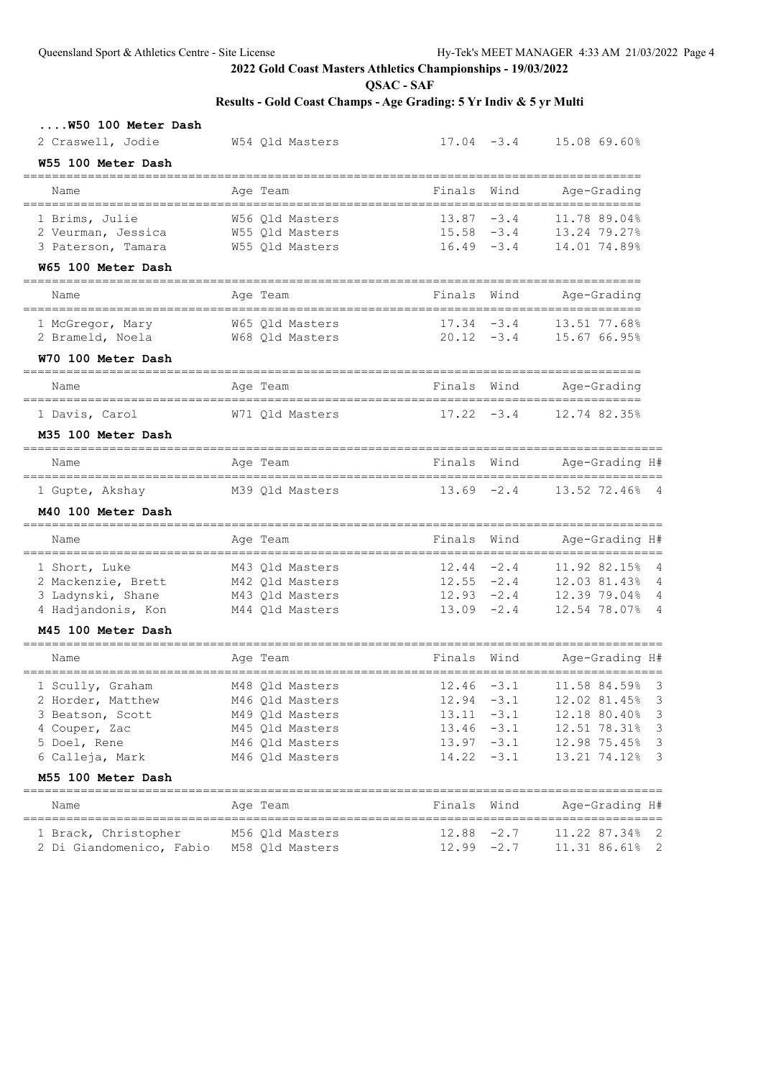**QSAC - SAF**

| W50 100 Meter Dash                        |                                    |                                                       |        |                                                     |                              |
|-------------------------------------------|------------------------------------|-------------------------------------------------------|--------|-----------------------------------------------------|------------------------------|
| 2 Craswell, Jodie                         | W54 Qld Masters                    | $17.04 - 3.4$                                         |        | 15.08 69.60%                                        |                              |
| W55 100 Meter Dash                        |                                    |                                                       |        |                                                     |                              |
| Name                                      | Age Team                           | Finals                                                | Wind   | Age-Grading                                         |                              |
| 1 Brims, Julie                            | W56 Qld Masters                    | $13.87 - 3.4$                                         |        | 11.78 89.04%                                        |                              |
| 2 Veurman, Jessica                        | W55 Qld Masters                    | $15.58 - 3.4$                                         |        | 13.24 79.27%                                        |                              |
| 3 Paterson, Tamara                        | W55 Qld Masters                    | $16.49 - 3.4$                                         |        | 14.01 74.89%                                        |                              |
| W65 100 Meter Dash                        |                                    |                                                       |        |                                                     |                              |
| Name                                      | Age Team                           | Finals                                                | Wind   | Age-Grading                                         |                              |
| 1 McGregor, Mary                          | W65 Old Masters                    | $17.34 - 3.4$                                         |        | 13.51 77.68%                                        |                              |
| 2 Brameld, Noela                          | W68 Qld Masters                    | $20.12 - 3.4$                                         |        | 15.67 66.95%                                        |                              |
| W70 100 Meter Dash                        |                                    |                                                       |        |                                                     |                              |
| Name<br>--------------------------------  | Age Team                           | Finals Wind                                           |        | Age-Grading                                         |                              |
| 1 Davis, Carol                            | W71 Qld Masters                    | $17.22 - 3.4$                                         |        | 12.74 82.35%                                        |                              |
| M35 100 Meter Dash                        |                                    |                                                       |        |                                                     |                              |
| Name<br>--------------------------------- | Age Team                           | ======================================<br>Finals Wind |        | Age-Grading H#                                      |                              |
| 1 Gupte, Akshay                           | M39 Qld Masters                    | $13.69 - 2.4$                                         |        | 13.52 72.46% 4                                      |                              |
| M40 100 Meter Dash                        |                                    |                                                       |        |                                                     |                              |
| -----------------------<br>Name           | ===============<br>Age Team        | Finals                                                | Wind   | Age-Grading H#                                      |                              |
| 1 Short, Luke                             | M43 Qld Masters                    | $12.44 - 2.4$                                         |        | 11.92 82.15% 4                                      |                              |
| 2 Mackenzie, Brett                        | M42 Qld Masters                    | $12.55 - 2.4$                                         |        | 12.03 81.43% 4                                      |                              |
| 3 Ladynski, Shane                         | M43 Qld Masters                    | $12.93 - 2.4$                                         |        | 12.39 79.04% 4                                      |                              |
| 4 Hadjandonis, Kon                        | M44 Qld Masters                    | $13.09 - 2.4$                                         |        | 12.54 78.07% 4                                      |                              |
| M45 100 Meter Dash                        |                                    |                                                       |        |                                                     |                              |
| Name                                      | Age Team                           | Finals                                                | Wind   | Age-Grading H#<br>==========                        |                              |
| 1 Scully, Graham                          | M48 Qld Masters                    | $12.46 - 3.1$                                         |        | 11.58 84.59% 3                                      |                              |
| 2 Horder, Matthew                         | M46 Qld Masters                    | $12.94 - 3.1$                                         |        | 12.02 81.45%                                        | $\overline{\mathbf{3}}$      |
| 3 Beatson, Scott                          | M49 Qld Masters                    | 13.11                                                 | $-3.1$ | 12.18 80.40%                                        | $\overline{3}$               |
| 4 Couper, Zac                             | M45 Qld Masters                    | $13.46 - 3.1$                                         |        | 12.51 78.31%                                        | 3                            |
| 5 Doel, Rene<br>6 Calleja, Mark           | M46 Qld Masters<br>M46 Qld Masters | $13.97 - 3.1$<br>14.22                                | $-3.1$ | 12.98 75.45%<br>13.21 74.12%                        | 3<br>$\overline{\mathbf{3}}$ |
| M55 100 Meter Dash                        |                                    |                                                       |        |                                                     |                              |
| =============================             |                                    |                                                       |        |                                                     |                              |
| Name<br>===============                   | Age Team<br>____________________   | Finals                                                | Wind   | Age-Grading H#<br>================================= |                              |
| 1 Brack, Christopher                      | M56 Qld Masters                    | $12.88 - 2.7$                                         |        | 11.22 87.34% 2                                      |                              |
| 2 Di Giandomenico, Fabio                  | M58 Qld Masters                    | $12.99 - 2.7$                                         |        | 11.31 86.61% 2                                      |                              |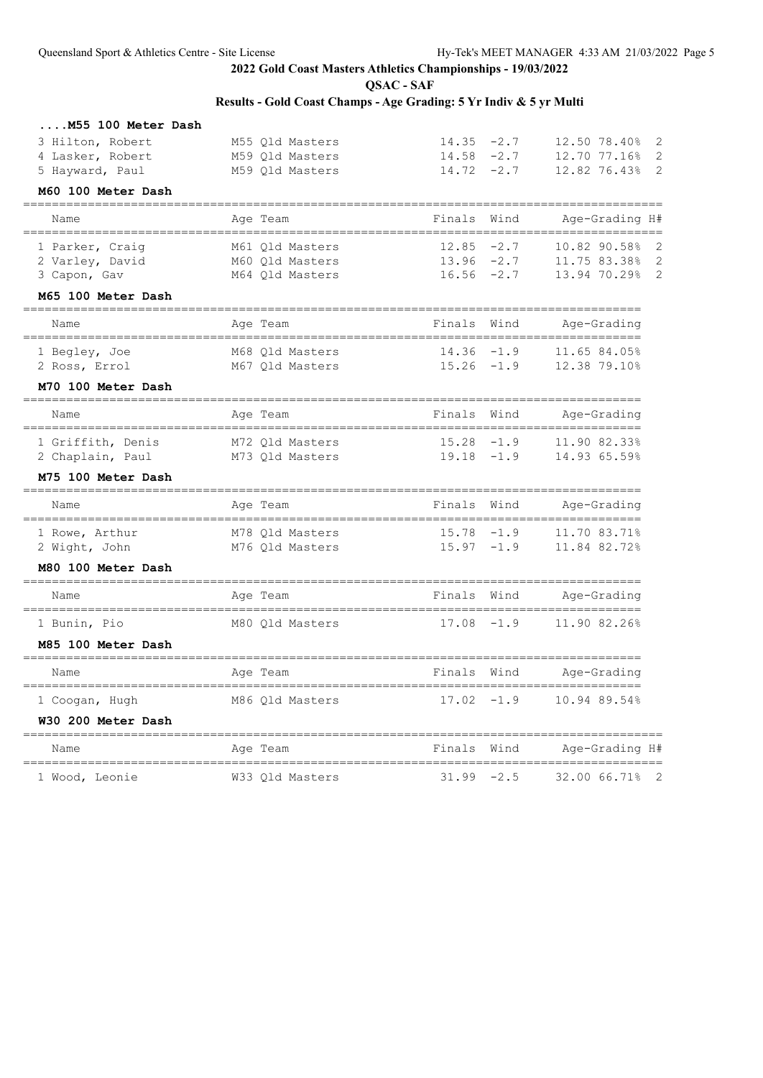**QSAC - SAF**

| M55 100 Meter Dash                          |                           |                                  |        |                                        |
|---------------------------------------------|---------------------------|----------------------------------|--------|----------------------------------------|
| 3 Hilton, Robert                            | M55 Qld Masters           | $14.35 -2.7$                     |        | 12.50 78.40%<br>$\overline{2}$         |
| 4 Lasker, Robert                            | M59 Qld Masters           | 14.58                            | $-2.7$ | 2<br>12.70 77.16%                      |
| 5 Hayward, Paul                             | M59 Qld Masters           | 14.72                            | $-2.7$ | 2<br>12.82 76.43%                      |
| M60 100 Meter Dash                          |                           |                                  |        |                                        |
| Name                                        | Age Team                  | Finals                           | Wind   | Age-Grading H#                         |
| ---------------------<br>1 Parker, Craiq    | M61 Qld Masters           | 12.85                            | $-2.7$ | -----------------<br>10.82 90.58%<br>2 |
| 2 Varley, David                             | M60 Qld Masters           | 13.96                            | $-2.7$ | 11.75 83.38%<br>2                      |
| 3 Capon, Gav                                | M64 Qld Masters           | 16.56                            | $-2.7$ | 2<br>13.94 70.29%                      |
| M65 100 Meter Dash<br>_____________________ | _________________________ |                                  |        | ____________________________________   |
| Name<br>------------------------            | Age Team                  | Finals                           | Wind   | Age-Grading<br>=============           |
| 1 Begley, Joe                               | M68 Qld Masters           | 14.36                            | $-1.9$ | 11.65 84.05%                           |
| 2 Ross, Errol                               | M67 Qld Masters           | 15.26                            | $-1.9$ | 12.38 79.10%                           |
| M70 100 Meter Dash                          |                           |                                  |        |                                        |
| Name                                        | Age Team                  | Finals                           | Wind   | Age-Grading                            |
| 1 Griffith, Denis                           | M72 Old Masters           | 15.28                            | $-1.9$ | 11.90 82.33%                           |
| 2 Chaplain, Paul                            | M73 Qld Masters           | 19.18                            | $-1.9$ | 14.93 65.59%                           |
| M75 100 Meter Dash<br>____________________  |                           |                                  |        |                                        |
| Name                                        | Age Team                  | Finals                           | Wind   | Age-Grading                            |
| 1 Rowe, Arthur                              | M78 Qld Masters           | 15.78                            | $-1.9$ | 11.70 83.71%                           |
| 2 Wight, John                               | M76 Qld Masters           | 15.97                            | $-1.9$ | 11.84 82.72%                           |
| M80 100 Meter Dash                          |                           |                                  |        |                                        |
| Name                                        | Age Team                  | Finals                           | Wind   | Age-Grading                            |
| 1 Bunin, Pio                                | M80 Qld Masters           | 17.08                            | $-1.9$ | 11.90 82.26%                           |
| M85 100 Meter Dash                          |                           |                                  |        |                                        |
| ========================<br>Name            | ========<br>Age Team      | Finals                           | Wind   | Age-Grading                            |
| 1 Coogan, Hugh                              | M86 Qld Masters           | 17.02                            | $-1.9$ | 10.94 89.54%                           |
| W30 200 Meter Dash                          |                           |                                  |        |                                        |
| Name                                        | Age Team                  | Finals                           | Wind   | Age-Grading H#                         |
| 1 Wood, Leonie                              | W33 Qld Masters           | =======================<br>31.99 | $-2.5$ | 32.00 66.71%<br>2                      |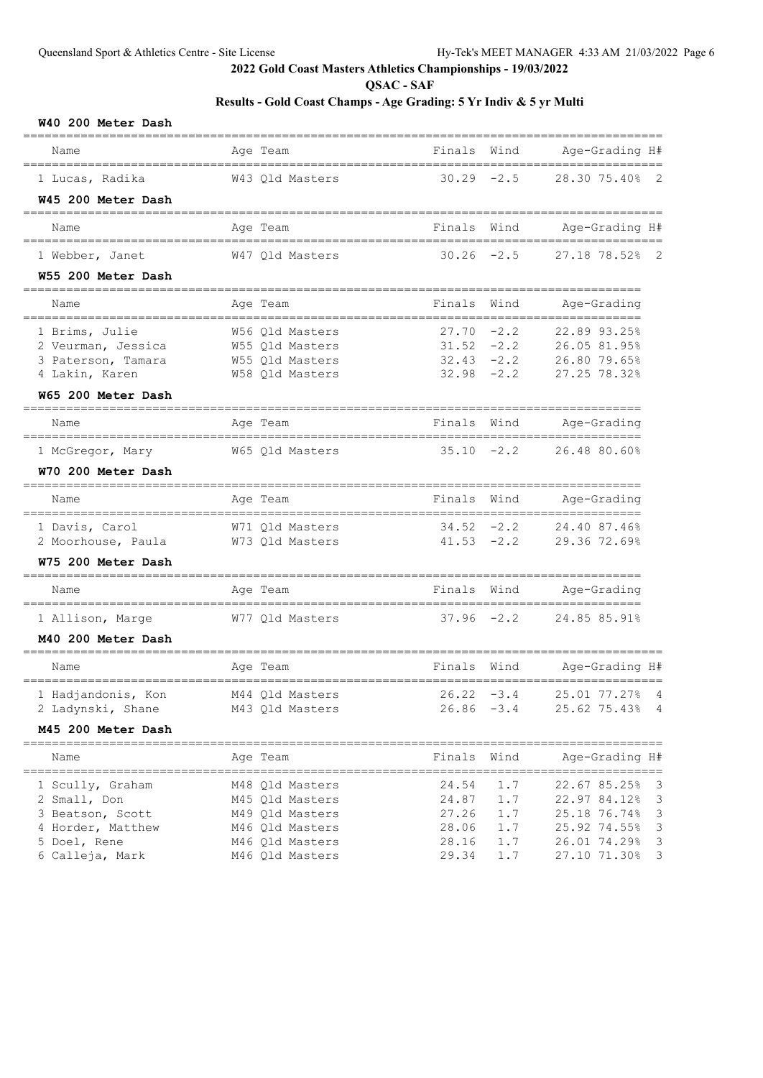**QSAC - SAF**

## **Results - Gold Coast Champs - Age Grading: 5 Yr Indiv & 5 yr Multi**

| W40 200 Meter Dash                 |                 |               |      | ====================    |                         |
|------------------------------------|-----------------|---------------|------|-------------------------|-------------------------|
| Name                               | Age Team        | Finals        | Wind | Age-Grading H#          |                         |
| 1 Lucas, Radika                    | W43 Qld Masters | $30.29 - 2.5$ |      | 28.30 75.40% 2          |                         |
| W45 200 Meter Dash                 |                 |               |      |                         |                         |
| Name                               | Age Team        | Finals        | Wind | Age-Grading H#          |                         |
| 1 Webber, Janet                    | W47 Qld Masters | $30.26 -2.5$  |      | 27.18 78.52% 2          |                         |
| W55 200 Meter Dash                 |                 |               |      |                         |                         |
| Name                               | Age Team        | Finals        | Wind | Age-Grading             |                         |
| 1 Brims, Julie                     | W56 Qld Masters | $27.70 -2.2$  |      | 22.89 93.25%            |                         |
| 2 Veurman, Jessica                 | W55 Qld Masters | $31.52 -2.2$  |      | 26.05 81.95%            |                         |
| 3 Paterson, Tamara                 | W55 Qld Masters | $32.43 - 2.2$ |      | 26.80 79.65%            |                         |
| 4 Lakin, Karen                     | W58 Qld Masters | $32.98 - 2.2$ |      | 27.25 78.32%            |                         |
| W65 200 Meter Dash                 |                 |               |      |                         |                         |
| Name                               | Age Team        | Finals        | Wind | Age-Grading             |                         |
| 1 McGregor, Mary                   | W65 Qld Masters | $35.10 -2.2$  |      | 26.48 80.60%            |                         |
| W70 200 Meter Dash                 |                 |               |      |                         |                         |
| Name                               | Age Team        | Finals        | Wind | Age-Grading             |                         |
| 1 Davis, Carol                     | W71 Qld Masters | $34.52 -2.2$  |      | 24.40 87.46%            |                         |
| 2 Moorhouse, Paula W73 Qld Masters |                 |               |      | 41.53 -2.2 29.36 72.69% |                         |
| W75 200 Meter Dash                 |                 |               |      |                         |                         |
| Name                               | Age Team        | Finals        | Wind | Age-Grading             |                         |
| 1 Allison, Marge                   | W77 Qld Masters | $37.96 -2.2$  |      | 24.85 85.91%            |                         |
| M40 200 Meter Dash                 |                 |               |      |                         |                         |
| Name                               | Age Team        | Finals        | Wind | Age-Grading H#          |                         |
| 1 Hadjandonis, Kon                 | M44 Qld Masters | $26.22 - 3.4$ |      | 25.01 77.27% 4          |                         |
| 2 Ladynski, Shane                  | M43 Qld Masters | $26.86 - 3.4$ |      | 25.62 75.43% 4          |                         |
| M45 200 Meter Dash                 |                 |               |      | ----------------------  |                         |
| Name                               | Age Team        | Finals        | Wind | Age-Grading H#          |                         |
| 1 Scully, Graham                   | M48 Qld Masters | 24.54         | 1.7  | 22.67 85.25%            | $\overline{\mathbf{3}}$ |
| 2 Small, Don                       | M45 Qld Masters | 24.87         | 1.7  | 22.97 84.12%            | $\overline{\mathbf{3}}$ |
| 3 Beatson, Scott                   | M49 Qld Masters | 27.26         | 1.7  | 25.18 76.74%            | -3                      |
| 4 Horder, Matthew                  | M46 Qld Masters | 28.06         | 1.7  | 25.92 74.55%            | $\overline{\mathbf{3}}$ |
| 5 Doel, Rene                       | M46 Qld Masters | 28.16         | 1.7  | 26.01 74.29%            | $\overline{\mathbf{3}}$ |

6 Calleja, Mark M46 Qld Masters 29.34 1.7 27.10 71.30% 3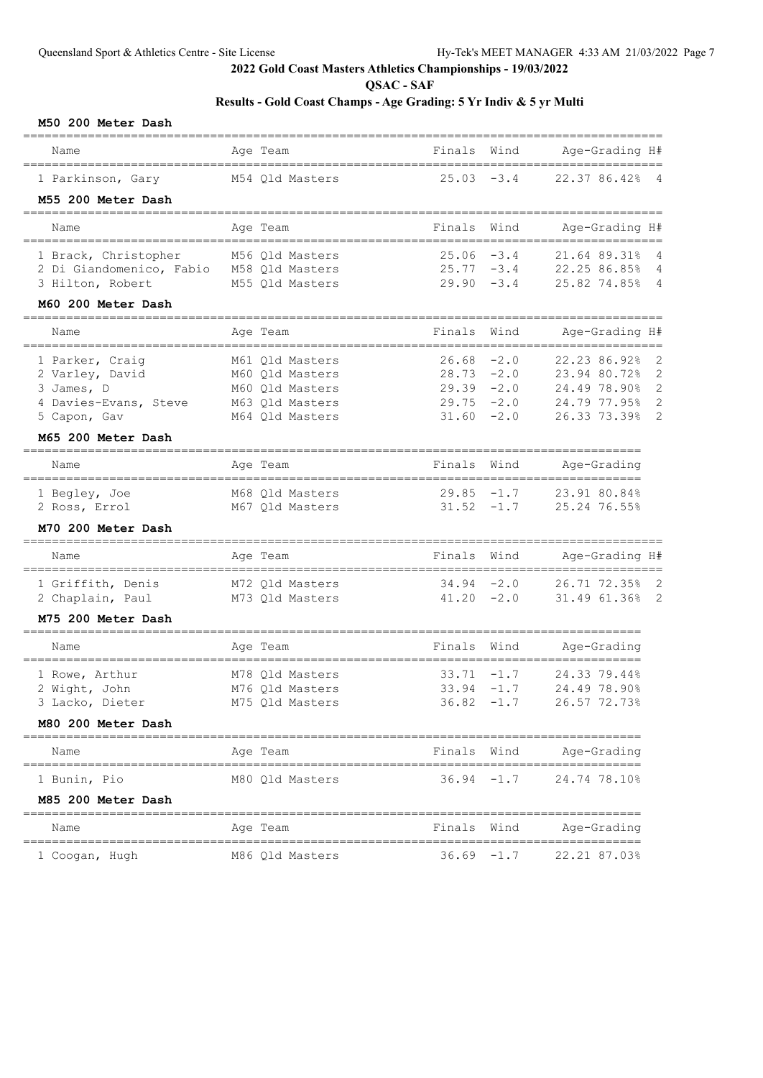**QSAC - SAF**

# **Results - Gold Coast Champs - Age Grading: 5 Yr Indiv & 5 yr Multi**

#### **M50 200 Meter Dash**

| Name                                         | Age Team                           | Finals                         | Wind   | Age-Grading H#                           |                                  |
|----------------------------------------------|------------------------------------|--------------------------------|--------|------------------------------------------|----------------------------------|
| 1 Parkinson, Gary                            | M54 Qld Masters                    | 25.03                          | $-3.4$ | 22.37 86.42%                             | 4                                |
| M55 200 Meter Dash                           |                                    |                                |        |                                          |                                  |
| Name                                         | Age Team                           | Finals                         | Wind   | Age-Grading H#                           |                                  |
| 1 Brack, Christopher                         | M56 Qld Masters                    | 25.06                          | $-3.4$ | 21.64 89.31%                             | 4                                |
| 2 Di Giandomenico, Fabio<br>3 Hilton, Robert | M58 Qld Masters<br>M55 Qld Masters | $25.77 - 3.4$<br>$29.90 - 3.4$ |        | 22.25 86.85%<br>25.82 74.85%             | $\overline{4}$<br>$\overline{4}$ |
| M60 200 Meter Dash                           |                                    |                                |        |                                          |                                  |
| Name                                         | Age Team                           | Finals                         | Wind   | Age-Grading H#                           |                                  |
|                                              |                                    | =======                        | ====== |                                          |                                  |
| 1 Parker, Craig<br>2 Varley, David           | M61 Qld Masters<br>M60 Qld Masters | 26.68<br>$28.73 - 2.0$         | $-2.0$ | 22.23 86.92%<br>23.94 80.72%             | $\overline{2}$<br>$\mathbf{2}$   |
| 3 James, D                                   | M60 Old Masters                    | $29.39 - 2.0$                  |        | 24.49 78.90%                             | $\mathbf{2}$                     |
| 4 Davies-Evans, Steve                        | M63 Qld Masters                    | $29.75 - 2.0$                  |        | 24.79 77.95%                             | 2                                |
| 5 Capon, Gav                                 | M64 Qld Masters                    | 31.60                          | $-2.0$ | 26.33 73.39%                             | 2                                |
| M65 200 Meter Dash<br>______________         |                                    |                                |        |                                          |                                  |
| Name                                         | Age Team                           | Finals                         | Wind   | Age-Grading<br>-------------------       |                                  |
| 1 Begley, Joe                                | M68 Old Masters                    | 29.85                          | $-1.7$ | 23.91 80.84%                             |                                  |
| 2 Ross, Errol                                | M67 Qld Masters                    | $31.52 -1.7$                   |        | 25.24 76.55%                             |                                  |
| M70 200 Meter Dash<br>=====================  |                                    |                                |        |                                          |                                  |
| Name                                         | Age Team                           | Finals                         | Wind   | Age-Grading H#<br>---------------------- |                                  |
| 1 Griffith, Denis                            | M72 Qld Masters                    | $34.94 - 2.0$                  |        | 26.71 72.35%                             | $\overline{\phantom{0}}^2$       |
| 2 Chaplain, Paul                             | M73 Qld Masters                    | $41.20 -2.0$                   |        | 31.49 61.36%                             | $\overline{\phantom{0}}^2$       |
| M75 200 Meter Dash                           |                                    |                                |        |                                          |                                  |
| Name<br>-----------------------------------  | Age Team                           | Finals                         | Wind   | Age-Grading                              |                                  |
| 1 Rowe, Arthur                               | M78 Qld Masters                    | 33.71                          | $-1.7$ | 24.33 79.44%                             |                                  |
| 2 Wight, John                                | M76 Qld Masters                    | 33.94                          | $-1.7$ | 24.49 78.90%                             |                                  |
| 3 Lacko, Dieter                              | M75 Qld Masters                    | 36.82                          | $-1.7$ | 26.57 72.73%                             |                                  |
| M80 200 Meter Dash                           |                                    |                                |        |                                          |                                  |
| Name                                         | Age Team                           | Finals                         | Wind   | Age-Grading                              |                                  |
| 1 Bunin, Pio                                 | M80 Qld Masters                    | $36.94 -1.7$                   |        | 24.74 78.10%                             |                                  |
| M85 200 Meter Dash                           |                                    |                                |        |                                          |                                  |
| Name                                         | Age Team                           | Finals                         | Wind   | Age-Grading                              |                                  |
| 1 Coogan, Hugh                               | M86 Qld Masters                    | $36.69 - 1.7$                  |        | 22.21 87.03%                             |                                  |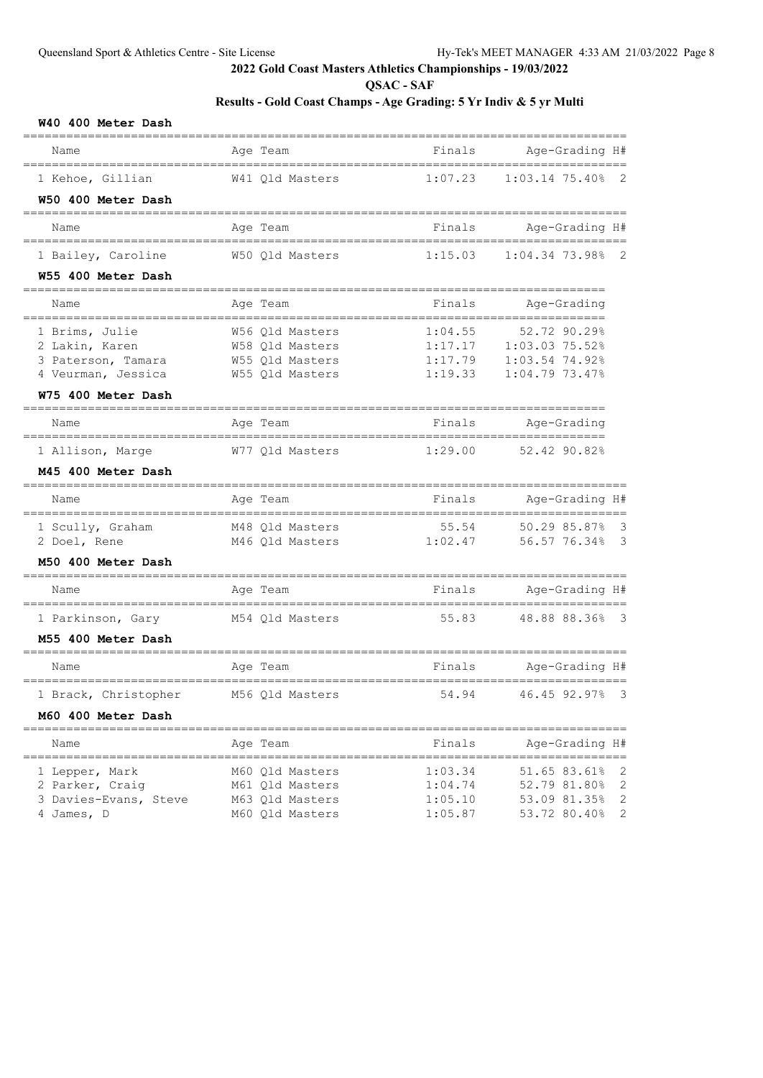**QSAC - SAF**

| W40 400 Meter Dash    |                 |                         |                                                    |
|-----------------------|-----------------|-------------------------|----------------------------------------------------|
| Name                  | Age Team        | Finals                  | Age-Grading H#                                     |
| 1 Kehoe, Gillian      | W41 Qld Masters | 1:07.23                 | $1:03.14$ 75.40%<br>$\overline{2}$                 |
| W50 400 Meter Dash    |                 |                         |                                                    |
| Name                  | Age Team        | Finals                  | Age-Grading H#                                     |
| 1 Bailey, Caroline    | W50 Qld Masters | 1:15.03                 | $1:04.34$ 73.98% 2                                 |
| W55 400 Meter Dash    |                 |                         |                                                    |
| Name                  | Age Team        | Finals                  | Age-Grading                                        |
| 1 Brims, Julie        | W56 Qld Masters | 1:04.55                 | 52.72 90.29%                                       |
| 2 Lakin, Karen        | W58 Qld Masters | 1:17.17                 | 1:03.03 75.52%                                     |
| 3 Paterson, Tamara    | W55 Qld Masters | 1:17.79                 | 1:03.54 74.92%                                     |
| 4 Veurman, Jessica    | W55 Qld Masters | 1:19.33                 | 1:04.79 73.47%                                     |
| W75 400 Meter Dash    |                 |                         |                                                    |
| Name                  | Age Team        | Finals                  | Age-Grading                                        |
| 1 Allison, Marge      | W77 Old Masters | 1:29.00                 | 52.42 90.82%                                       |
| M45 400 Meter Dash    |                 |                         |                                                    |
| Name                  | Age Team        | Finals                  | Age-Grading H#                                     |
| 1 Scully, Graham      | M48 Qld Masters | 55.54                   | 50.29 85.87%<br>- 3                                |
| 2 Doel, Rene          | M46 Qld Masters | 1:02.47                 | 56.57 76.34%<br>$\overline{\mathbf{3}}$            |
| M50 400 Meter Dash    |                 |                         |                                                    |
| Name                  | Age Team        | Finals                  | Age-Grading H#                                     |
| 1 Parkinson, Gary     | M54 Qld Masters | 55.83                   | 48.88 88.36%<br>- 3                                |
| M55 400 Meter Dash    |                 |                         |                                                    |
| Name                  | Age Team        | Finals                  | Age-Grading H#                                     |
| 1 Brack, Christopher  | M56 Qld Masters | 54.94                   | 46.45 92.97% 3                                     |
| M60 400 Meter Dash    |                 | ======================= |                                                    |
| Name                  | Age Team        | Finals                  | Age-Grading H#                                     |
| 1 Lepper, Mark        | M60 Qld Masters | 1:03.34                 | $==$<br>51.65 83.61%<br>$\overline{\phantom{0}}^2$ |
| 2 Parker, Craig       | M61 Qld Masters | 1:04.74                 | 2<br>52.79 81.80%                                  |
| 3 Davies-Evans, Steve | M63 Qld Masters | 1:05.10                 | 2<br>53.09 81.35%                                  |
| 4 James, D            | M60 Qld Masters | 1:05.87                 | 2<br>53.72 80.40%                                  |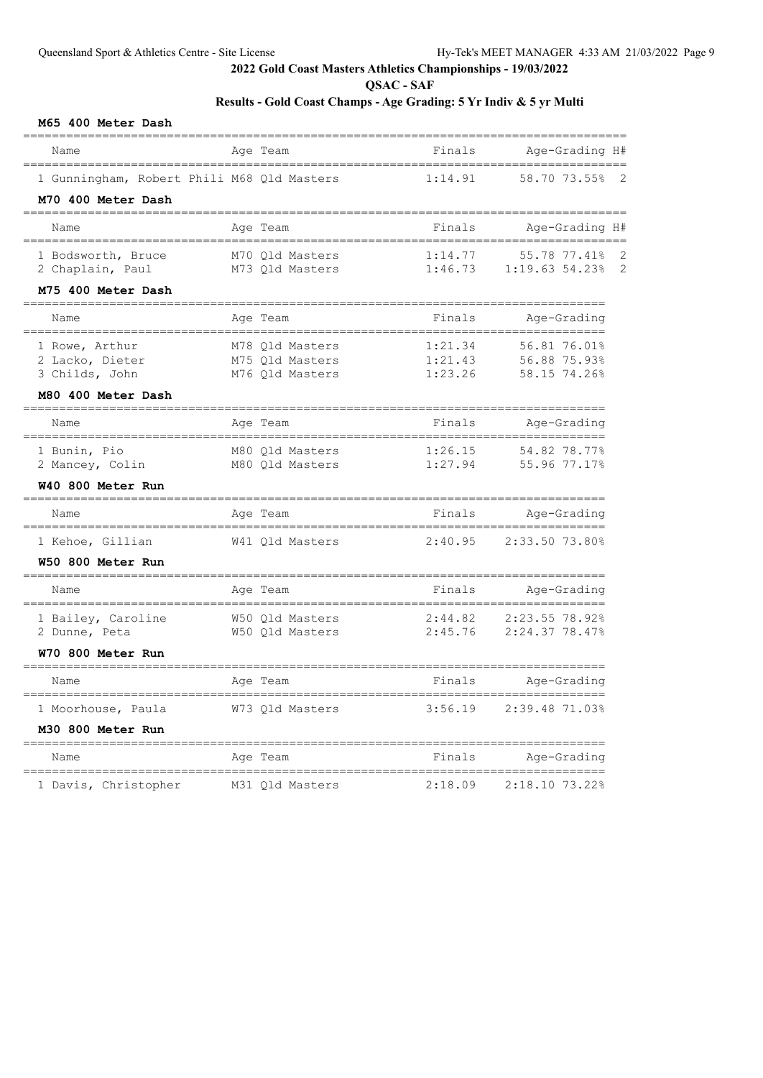**QSAC - SAF**

# **Results - Gold Coast Champs - Age Grading: 5 Yr Indiv & 5 yr Multi**

#### **M65 400 Meter Dash**

| Name                                            | Age Team                              | Finals                     | Age-Grading H#                    |
|-------------------------------------------------|---------------------------------------|----------------------------|-----------------------------------|
| 1 Gunningham, Robert Phili M68 Qld Masters      |                                       | 1:14.91                    | 58.70 73.55%                      |
| M70 400 Meter Dash<br>____________________      |                                       |                            |                                   |
| Name                                            | Age Team                              | Finals                     | Age-Grading H#                    |
| _________________________<br>1 Bodsworth, Bruce | M70 Qld Masters                       | 1:14.77                    | 55.78 77.41%<br>2                 |
| 2 Chaplain, Paul                                | M73 Qld Masters                       | 1:46.73                    | 1:19.63 54.23%<br>$\overline{c}$  |
| M75 400 Meter Dash<br>========================= |                                       |                            |                                   |
| Name<br>_____________________                   | Age Team<br>________________________  | Finals                     | Age-Grading                       |
| 1 Rowe, Arthur                                  | M78 Qld Masters                       | 1:21.34                    | 56.81 76.01%                      |
| 2 Lacko, Dieter<br>3 Childs, John               | M75 Qld Masters<br>M76 Qld Masters    | 1:21.43<br>1:23.26         | 56.88 75.93%<br>58.15 74.26%      |
| M80 400 Meter Dash                              |                                       |                            |                                   |
| =========================<br>Name               | ===============<br>Age Team           | ================<br>Finals | ============<br>Age-Grading       |
| ____________________<br>1 Bunin, Pio            | M80 Old Masters                       | 1:26.15                    | 54.82 78.77%                      |
| 2 Mancey, Colin                                 | M80 Qld Masters                       | 1:27.94                    | 55.96 77.17%                      |
| W40 800 Meter Run                               |                                       |                            |                                   |
| Name<br>___________________________________     | Age Team<br>,,,,,,,,,,,,,,,,,,,,,,,,, | Finals                     | Age-Grading<br>================== |
| 1 Kehoe, Gillian                                | W41 Qld Masters                       | 2:40.95                    | 2:33.50 73.80%                    |
| W50 800 Meter Run                               |                                       |                            |                                   |
| Name                                            | Age Team                              | Finals                     | Age-Grading                       |
| 1 Bailey, Caroline                              | W50 Old Masters                       | 2:44.82                    | 2:23.55 78.92%                    |
| 2 Dunne, Peta                                   | W50 Qld Masters                       | 2:45.76                    | 2:24.37 78.47%                    |
| W70 800 Meter Run                               |                                       |                            |                                   |
| Name                                            | Age Team                              | Finals                     | Age-Grading                       |
| 1 Moorhouse, Paula                              | W73 Qld Masters                       | 3:56.19                    | 2:39.48 71.03%                    |
| M30 800 Meter Run<br>======================     | ----------                            | ============               |                                   |
| Name                                            | Age Team                              | Finals                     | Age-Grading                       |
| --------------------<br>1 Davis, Christopher    | M31 Old Masters                       | 2:18.09                    | 2:18.10 73.22%                    |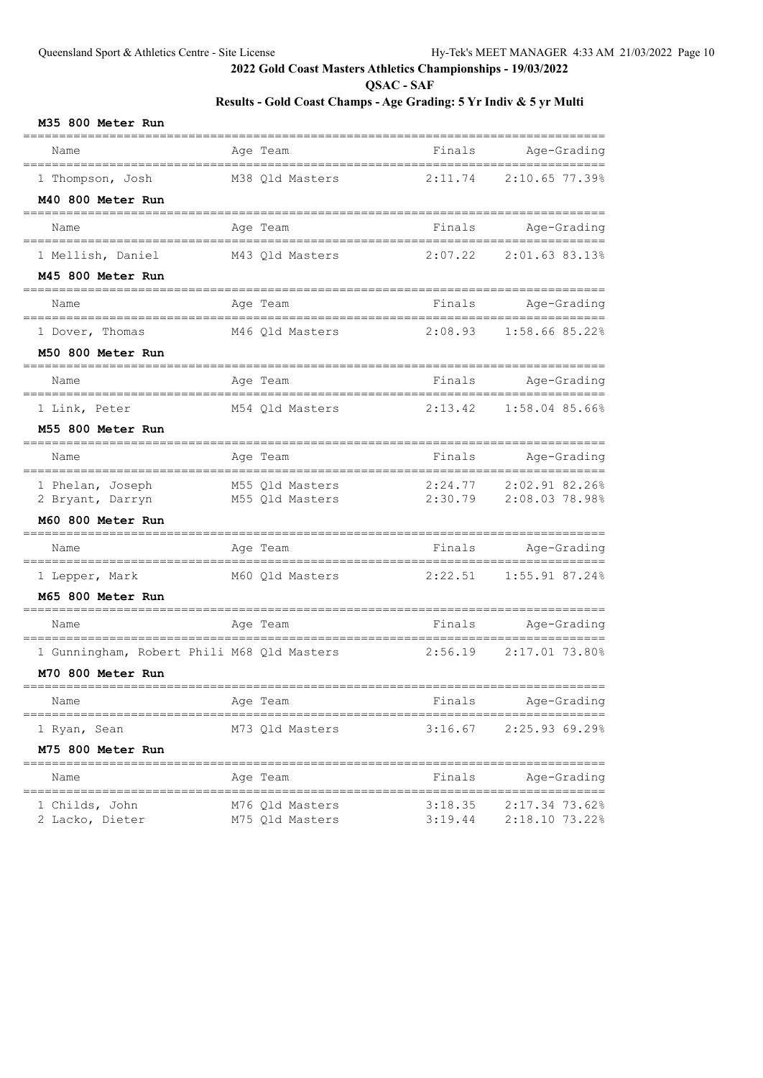**QSAC - SAF**

## **Results - Gold Coast Champs - Age Grading: 5 Yr Indiv & 5 yr Multi**

#### **M35 800 Meter Run**

| Name                                               | Age Team        | Finals  | Age-Grading                      |
|----------------------------------------------------|-----------------|---------|----------------------------------|
| 1 Thompson, Josh                                   | M38 Qld Masters | 2:11.74 | 2:10.65 77.39%                   |
| M40 800 Meter Run                                  |                 |         |                                  |
| Name                                               | Age Team        |         | Finals Age-Grading               |
| 1 Mellish, Daniel                                  | M43 Qld Masters | 2:07.22 | 2:01.63 83.13%                   |
| M45 800 Meter Run                                  |                 |         |                                  |
| Name                                               | Age Team        |         | Finals Age-Grading               |
| 1 Dover, Thomas                                    | M46 Qld Masters | 2:08.93 | 1:58.66 85.22%                   |
| M50 800 Meter Run                                  |                 |         |                                  |
| Name                                               | Age Team        |         | Finals Age-Grading               |
| 1 Link, Peter                                      | M54 Qld Masters | 2:13.42 | 1:58.04 85.66%                   |
| M55 800 Meter Run                                  |                 |         |                                  |
| Name                                               | Age Team        | Finals  | Age-Grading                      |
| 1 Phelan, Joseph                                   | M55 Qld Masters | 2:24.77 | 2:02.91 82.26%                   |
| 2 Bryant, Darryn<br>M60 800 Meter Run              | M55 Qld Masters | 2:30.79 | 2:08.03 78.98%                   |
|                                                    |                 |         |                                  |
| Name                                               | Age Team        |         | Finals Age-Grading               |
| 1 Lepper, Mark                                     | M60 Qld Masters | 2:22.51 | 1:55.91 87.24%                   |
| M65 800 Meter Run                                  |                 |         |                                  |
| Name                                               | Age Team        |         | Finals Age-Grading<br>========== |
| 1 Gunningham, Robert Phili M68 Qld Masters         |                 | 2:56.19 | 2:17.01 73.80%                   |
| M70 800 Meter Run                                  |                 |         |                                  |
| Name                                               | Age Team        | Finals  | Age-Grading                      |
| 1 Ryan, Sean                                       | M73 Qld Masters | 3:16.67 | 2:25.93 69.29%                   |
| M75 800 Meter Run                                  |                 |         |                                  |
| ==================================<br>Name         | Age Team        | Finals  | Age-Grading                      |
| ================================<br>1 Childs, John | M76 Qld Masters | 3:18.35 | 2:17.34 73.62%                   |
| 2 Lacko, Dieter                                    | M75 Qld Masters | 3:19.44 | 2:18.10 73.22%                   |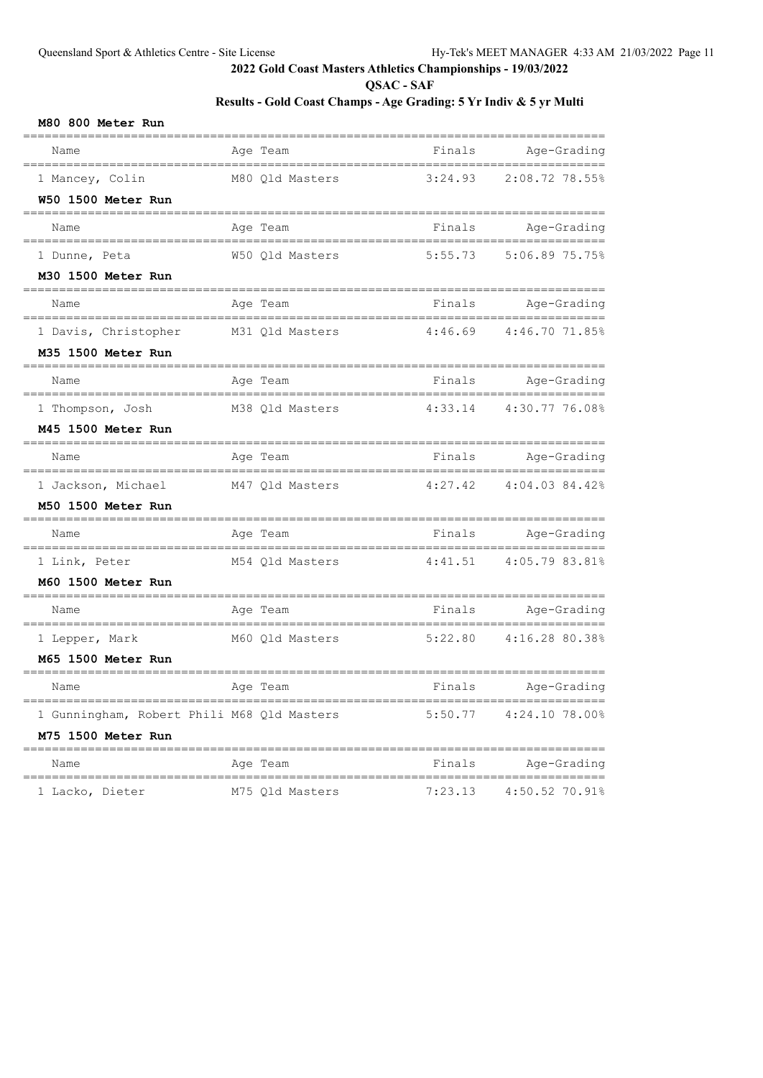**QSAC - SAF**

| M80 800 Meter Run |  |  |  |  |
|-------------------|--|--|--|--|
|-------------------|--|--|--|--|

| Name                                                        | Age Team                                    | Finals  | Age-Grading                        |
|-------------------------------------------------------------|---------------------------------------------|---------|------------------------------------|
| =======================<br>1 Mancey, Colin                  | M80 Old Masters                             | 3:24.93 | ================<br>2:08.72 78.55% |
| W50 1500 Meter Run<br>____________________                  |                                             |         |                                    |
| Name                                                        | Age Team                                    | Finals  | Age-Grading                        |
| 1 Dunne, Peta                                               | W50 Qld Masters                             | 5:55.73 | 5:06.89 75.75%                     |
| M30 1500 Meter Run<br>________________________              | -----------------------------               |         |                                    |
| Name                                                        | Age Team                                    | Finals  | Age-Grading                        |
| -----------------------------------<br>1 Davis, Christopher | ._______________________<br>M31 Qld Masters | 4:46.69 | ================<br>4:46.70 71.85% |
| M35 1500 Meter Run                                          |                                             |         |                                    |
| Name                                                        | Age Team                                    | Finals  | Age-Grading                        |
| 1 Thompson, Josh                                            | M38 Qld Masters                             | 4:33.14 | 4:30.77 76.08%                     |
| M45 1500 Meter Run<br>=====================                 |                                             |         |                                    |
| Name                                                        | Age Team                                    | Finals  | Age-Grading                        |
| 1 Jackson, Michael                                          | M47 Qld Masters                             | 4:27.42 | 4:04.03 84.42%                     |
| M50 1500 Meter Run<br>_____________________________         |                                             |         |                                    |
| Name                                                        | Age Team                                    | Finals  | Age-Grading                        |
| ----------------------<br>1 Link, Peter                     | --------------------<br>M54 Qld Masters     | 4:41.51 | 4:05.79 83.81%                     |
| M60 1500 Meter Run                                          |                                             |         |                                    |
| Name                                                        | Age Team                                    | Finals  | Age-Grading                        |
| 1 Lepper, Mark                                              | M60 Qld Masters                             | 5:22.80 | 4:16.28 80.38%                     |
| M65 1500 Meter Run                                          |                                             |         |                                    |
| Name                                                        | Age Team                                    | Finals  | Age-Grading                        |
| 1 Gunningham, Robert Phili M68 Qld Masters                  |                                             | 5:50.77 | 4:24.10 78.00%                     |
| M75 1500 Meter Run                                          |                                             |         |                                    |
| Name                                                        | Age Team                                    | Finals  | Age-Grading                        |
| 1 Lacko, Dieter                                             | M75 Qld Masters                             | 7:23.13 | 4:50.52 70.91%                     |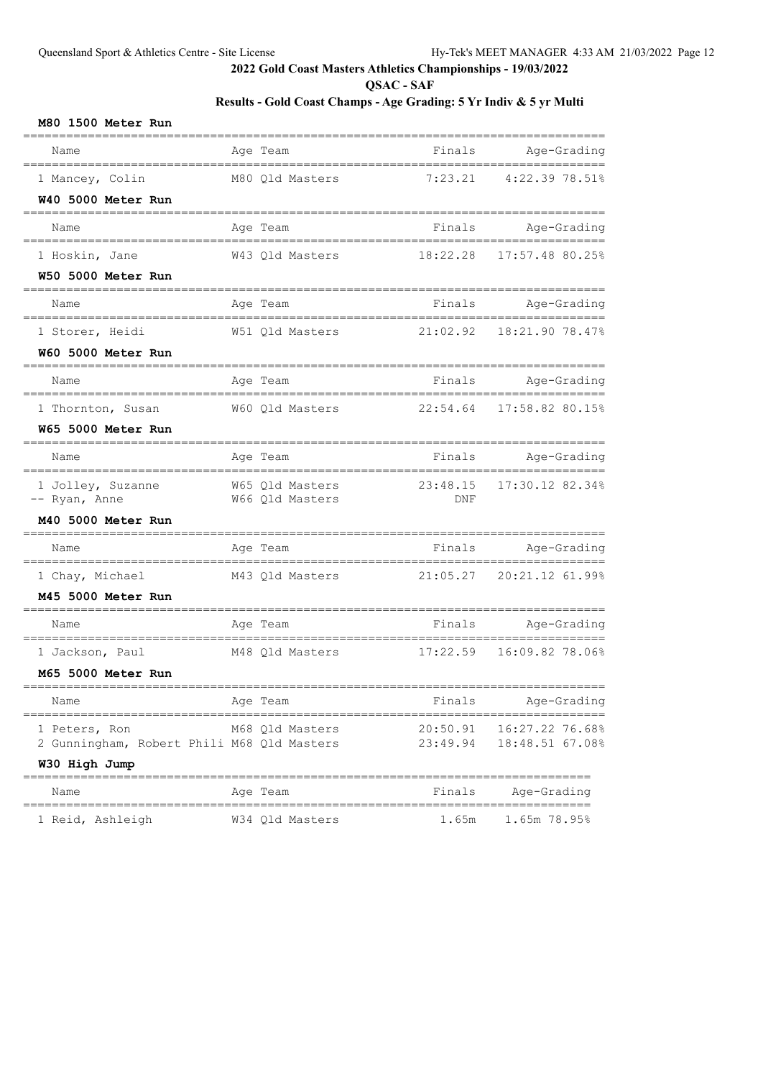**QSAC - SAF**

| M80 1500 Meter Run                           |                                          |          |                            |
|----------------------------------------------|------------------------------------------|----------|----------------------------|
| Name                                         | Age Team                                 |          | Finals Age-Grading         |
| 1 Mancey, Colin                              | M80 Qld Masters                          | 7:23.21  | 4:22.39 78.51%             |
| W40 5000 Meter Run<br>===================    |                                          |          |                            |
| Name                                         | Age Team                                 |          | Finals Age-Grading         |
| 1 Hoskin, Jane                               | W43 Qld Masters                          | 18:22.28 | 17:57.48 80.25%            |
| W50 5000 Meter Run                           |                                          |          |                            |
| Name                                         | Age Team<br>_______________________      |          | Finals Age-Grading         |
| 1 Storer, Heidi                              | W51 Qld Masters 21:02.92 18:21.90 78.47% |          |                            |
| W60 5000 Meter Run                           |                                          |          |                            |
| Name                                         | Age Team                                 |          | Finals Age-Grading         |
| 1 Thornton, Susan                            | W60 Qld Masters                          | 22:54.64 | 17:58.82 80.15%            |
| W65 5000 Meter Run                           |                                          |          |                            |
| Name                                         | Age Team                                 | Finals   | Age-Grading                |
| 1 Jolley, Suzanne<br>-- Ryan, Anne           | W65 Qld Masters<br>W66 Qld Masters       | DNF      | 23:48.15 17:30.12 82.34%   |
| M40 5000 Meter Run                           |                                          |          |                            |
| Name                                         | Age Team                                 | Finals   | Age-Grading                |
| 1 Chay, Michael                              | M43 Qld Masters 21:05.27 20:21.12 61.99% |          |                            |
| M45 5000 Meter Run                           |                                          |          |                            |
| Name                                         | Age Team                                 | Finals   | Age-Grading                |
| 1 Jackson, Paul                              | M48 Qld Masters 17:22.59 16:09.82 78.06% |          |                            |
| M65 5000 Meter Run                           |                                          |          |                            |
| Name<br>------------------------------------ | Age Team                                 | Finals   | Age-Grading                |
| 1 Peters, Ron                                | M68 Old Masters                          |          | 20:50.91  16:27.22  76.68% |
| 2 Gunningham, Robert Phili M68 Qld Masters   |                                          | 23:49.94 | 18:48.51 67.08%            |
| W30 High Jump                                |                                          |          |                            |
| Name                                         | Age Team                                 | Finals   | Age-Grading                |
| 1 Reid, Ashleigh                             | W34 Qld Masters                          | 1.65m    | 1.65m 78.95%               |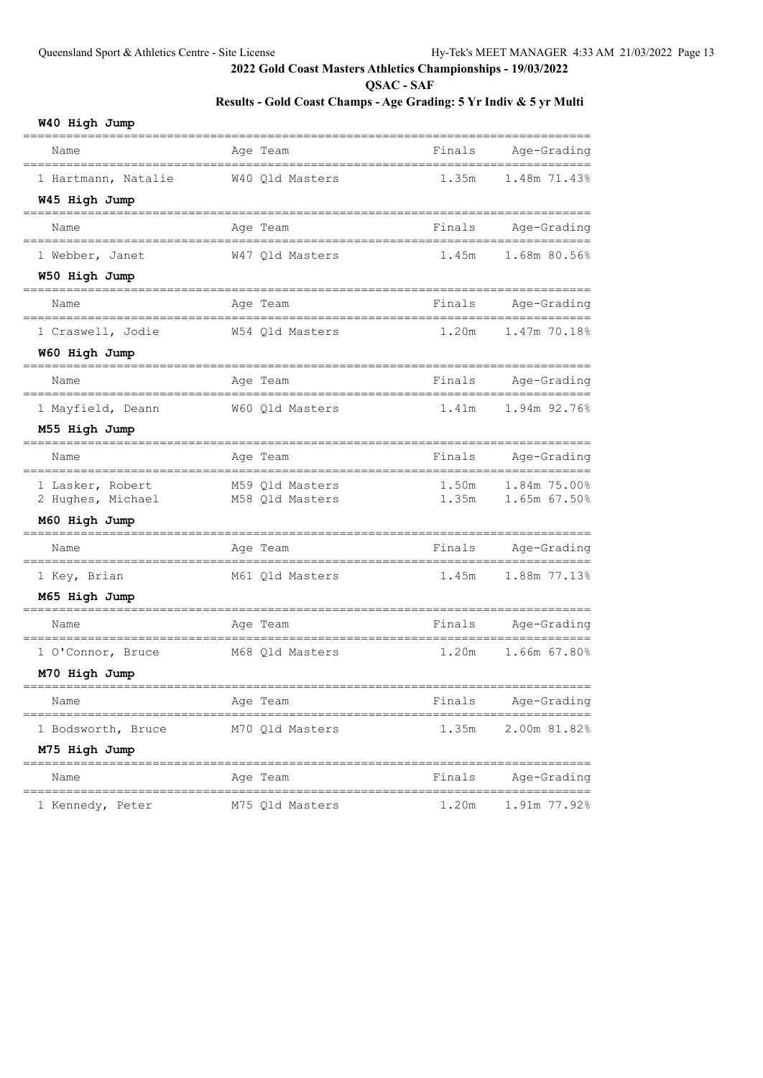**QSAC - SAF**

# **Results - Gold Coast Champs - Age Grading: 5 Yr Indiv & 5 yr Multi**

## **W40 High Jump**

| Name                                                              | Age Team                         | Finals | Age-Grading          |
|-------------------------------------------------------------------|----------------------------------|--------|----------------------|
| 1 Hartmann, Natalie                                               | W40 Qld Masters                  | 1.35m  | 1.48m 71.43%         |
| W45 High Jump                                                     |                                  |        |                      |
| Name                                                              | Age Team                         | Finals | Age-Grading          |
| 1 Webber, Janet                                                   | W47 Qld Masters                  | 1.45m  | 1.68m 80.56%         |
| W50 High Jump                                                     |                                  |        |                      |
| Name                                                              | Age Team                         | Finals | Age-Grading          |
| 1 Craswell, Jodie                                                 | W54 Qld Masters                  | 1.20m  | 1.47m 70.18%         |
| W60 High Jump                                                     |                                  |        |                      |
| Name                                                              | Age Team                         | Finals | Age-Grading          |
| 1 Mayfield, Deann                                                 | W60 Qld Masters                  | 1.41m  | 1.94m 92.76%         |
| M55 High Jump                                                     |                                  |        |                      |
| Name                                                              | Age Team                         | Finals | Age-Grading          |
| 1 Lasker, Robert                                                  | M59 Qld Masters                  | 1.50m  | 1.84m 75.00%         |
| 2 Hughes, Michael                                                 | M58 Qld Masters                  | 1.35m  | 1.65m 67.50%         |
| M60 High Jump                                                     |                                  |        |                      |
| Name                                                              | Age Team                         | Finals | Age-Grading<br>===== |
| 1 Key, Brian                                                      | M61 Qld Masters                  | 1.45m  | 1.88m 77.13%         |
| M65 High Jump                                                     |                                  |        |                      |
| Name                                                              | Age Team                         | Finals | Age-Grading          |
| 1 O'Connor, Bruce                                                 | M68 Qld Masters                  | 1.20m  | 1.66m 67.80%         |
| M70 High Jump                                                     |                                  |        |                      |
| Name                                                              | Age Team                         | Finals | Age-Grading          |
| 1 Bodsworth, Bruce                                                | M70 Qld Masters                  | 1.35m  | 2.00m 81.82%         |
| M75 High Jump                                                     |                                  |        |                      |
| =====================<br>Name<br>________________________________ | Age Team<br>==================== | Finals | Age-Grading          |
| 1 Kennedy, Peter                                                  | M75 Qld Masters                  | 1.20m  | 1.91m 77.92%         |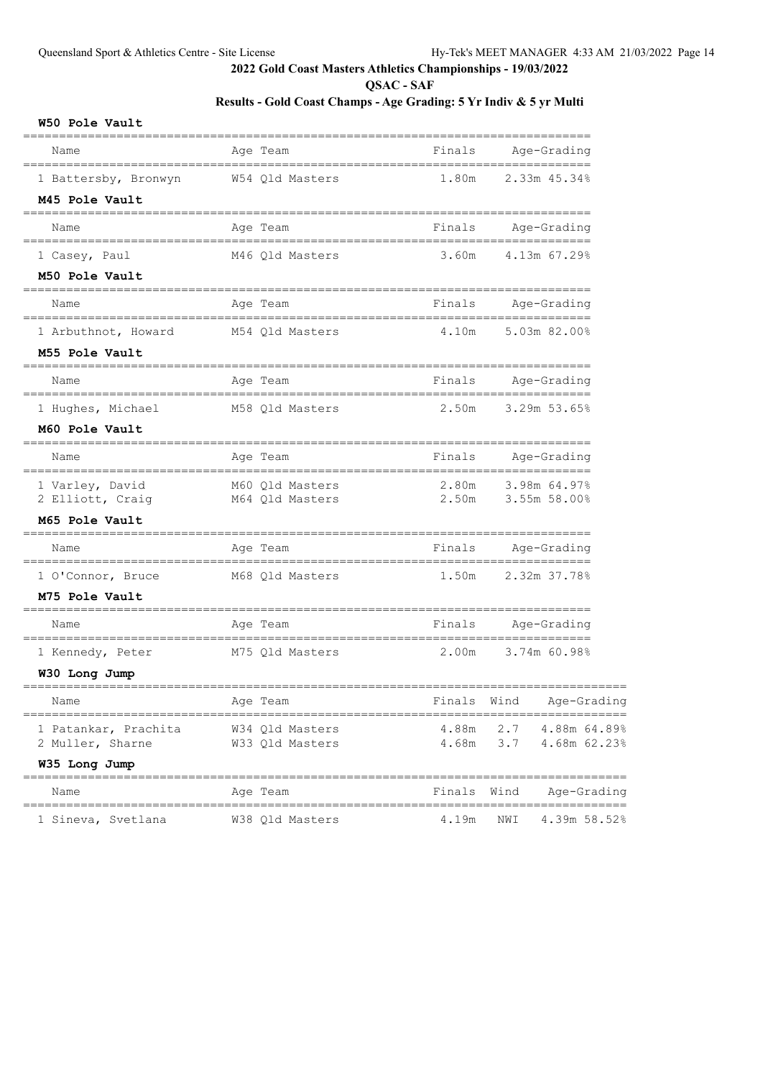**QSAC - SAF**

# **Results - Gold Coast Champs - Age Grading: 5 Yr Indiv & 5 yr Multi**

#### **W50 Pole Vault**

| Name                               | Age Team                          | Finals      | Age-Grading                        |
|------------------------------------|-----------------------------------|-------------|------------------------------------|
| 1 Battersby, Bronwyn               | W54 Qld Masters                   | 1.80m       | 2.33m 45.34%                       |
| M45 Pole Vault                     |                                   |             |                                    |
| Name                               | Age Team                          | Finals      | Age-Grading                        |
| 1 Casey, Paul                      | M46 Qld Masters                   | 3.60m       | 4.13m 67.29%                       |
| M50 Pole Vault                     |                                   |             |                                    |
| Name                               | Age Team                          | Finals      | Age-Grading                        |
| 1 Arbuthnot, Howard                | M54 Qld Masters                   | 4.10m       | 5.03m 82.00%                       |
| M55 Pole Vault                     |                                   |             |                                    |
| Name                               | Age Team                          | Finals      | Age-Grading                        |
| 1 Hughes, Michael                  | M58 Qld Masters                   | 2.50m       | 3.29m 53.65%                       |
| M60 Pole Vault                     |                                   |             |                                    |
| Name                               | Age Team                          | Finals      | Age-Grading                        |
| 1 Varley, David                    | M60 Qld Masters                   | 2.80m       | 3.98m 64.97%                       |
| 2 Elliott, Craig<br>M65 Pole Vault | M64 Qld Masters                   | 2.50m       | 3.55m 58.00%                       |
|                                    |                                   |             |                                    |
| Name                               | Age Team<br>--------------------- | Finals      | Age-Grading<br>___________________ |
| 1 O'Connor, Bruce                  | M68 Qld Masters                   | 1.50m       | 2.32m 37.78%                       |
| M75 Pole Vault                     |                                   |             |                                    |
| Name                               | Age Team                          | Finals      | Age-Grading                        |
| 1 Kennedy, Peter                   | M75 Qld Masters                   | 2.00m       | 3.74m 60.98%                       |
| W30 Long Jump                      |                                   |             |                                    |
| Name                               | Age Team                          | Finals      | Wind<br>Age-Grading                |
| 1 Patankar, Prachita               | W34 Qld Masters                   |             | 4.88m 2.7 4.88m 64.89%             |
| 2 Muller, Sharne                   | W33 Qld Masters                   |             | 4.68m 3.7 4.68m 62.23%             |
| W35 Long Jump                      |                                   |             |                                    |
| Name                               | Age Team                          | Finals Wind | Age-Grading                        |
| 1 Sineva, Svetlana                 | W38 Qld Masters                   | 4.19m       | 4.39m 58.52%<br>NWI                |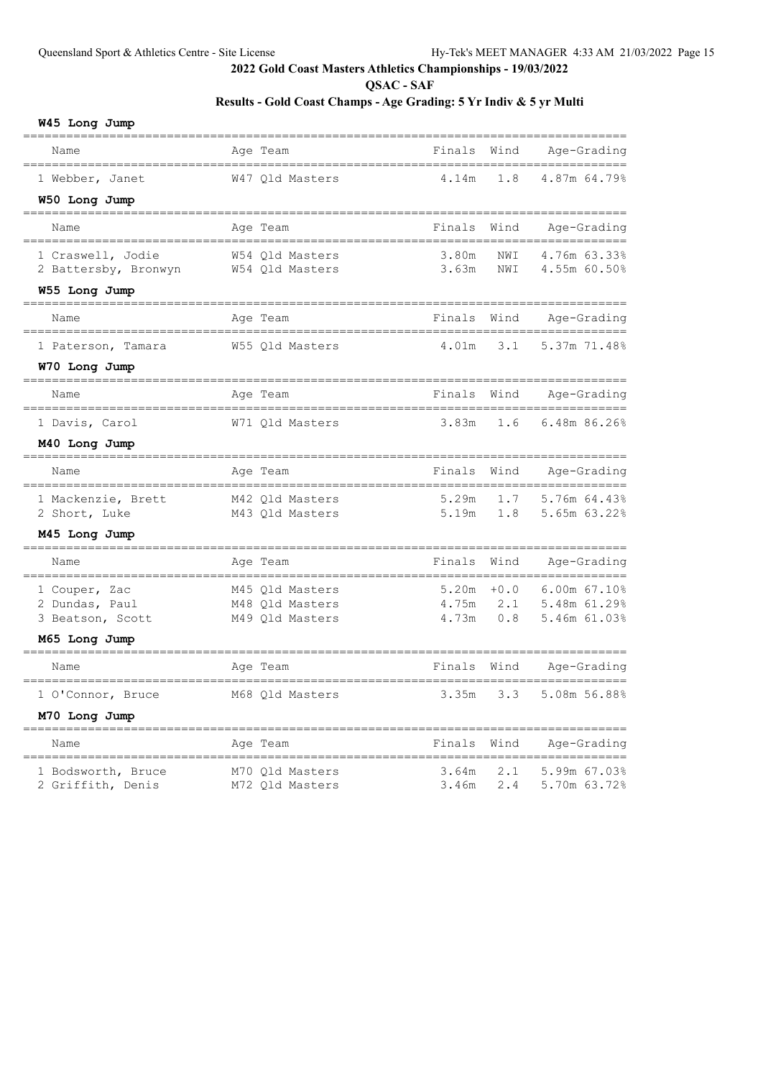**QSAC - SAF**

## **Results - Gold Coast Champs - Age Grading: 5 Yr Indiv & 5 yr Multi**

## **W45 Long Jump**

| Name                                      | Age Team                           | Finals         | Wind       | Age-Grading<br>=====         |
|-------------------------------------------|------------------------------------|----------------|------------|------------------------------|
| 1 Webber, Janet                           | W47 Qld Masters                    | 4.14m          | 1.8        | 4.87m 64.79%                 |
| W50 Long Jump                             |                                    |                |            |                              |
| ================<br>Name                  | Age Team                           | Finals         | Wind       | Age-Grading                  |
| 1 Craswell, Jodie<br>2 Battersby, Bronwyn | W54 Old Masters<br>W54 Qld Masters | 3.80m<br>3.63m | NWI<br>NWI | 4.76m 63.33%<br>4.55m 60.50% |
| W55 Long Jump                             |                                    |                |            |                              |
| ==================<br>Name                | Age Team                           | Finals         | Wind       | Age-Grading                  |
| 1 Paterson, Tamara                        | W55 Old Masters                    | 4.01m          | 3.1        | 5.37m 71.48%                 |
| W70 Long Jump                             |                                    |                |            |                              |
| Name<br>___________                       | Age Team                           | Finals         | Wind       | Age-Grading                  |
| 1 Davis, Carol                            | W71 Qld Masters                    | 3.83m          | 1.6        | 6.48m 86.26%                 |
| M40 Long Jump                             |                                    |                |            |                              |
| ================<br>Name                  | Age Team                           | Finals         | Wind       | Age-Grading                  |
| 1 Mackenzie, Brett                        | M42 Qld Masters                    | 5.29m          | 1.7        | 5.76m 64.43%                 |
| 2 Short, Luke                             | M43 Qld Masters                    | 5.19m          | 1.8        | 5.65m 63.22%                 |
| M45 Long Jump<br>================         |                                    |                |            |                              |
| Name                                      | Age Team                           | Finals         | Wind       | Age-Grading                  |
| 1 Couper, Zac                             | M45 Qld Masters                    | 5.20m          | $+0.0$     | 6.00m 67.10%                 |
| 2 Dundas, Paul                            | M48 Qld Masters                    | 4.75m<br>4.73m | 2.1<br>0.8 | 5.48m 61.29%<br>5.46m 61.03% |
| 3 Beatson, Scott<br>M65 Long Jump         | M49 Qld Masters                    |                |            |                              |
| ==============                            |                                    |                |            |                              |
| Name                                      | Age Team                           | Finals         | Wind       | Age-Grading                  |
| 1 O'Connor, Bruce                         | M68 Qld Masters                    | 3.35m          | 3.3        | 5.08m 56.88%                 |
| M70 Long Jump                             |                                    |                |            |                              |
| Name<br>==========                        | Age Team<br>=============          | Finals         | Wind       | Age-Grading<br>=========     |
| 1 Bodsworth, Bruce<br>2 Griffith, Denis   | M70 Old Masters<br>M72 Qld Masters | 3.64m<br>3.46m | 2.1<br>2.4 | 5.99m 67.03%<br>5.70m 63.72% |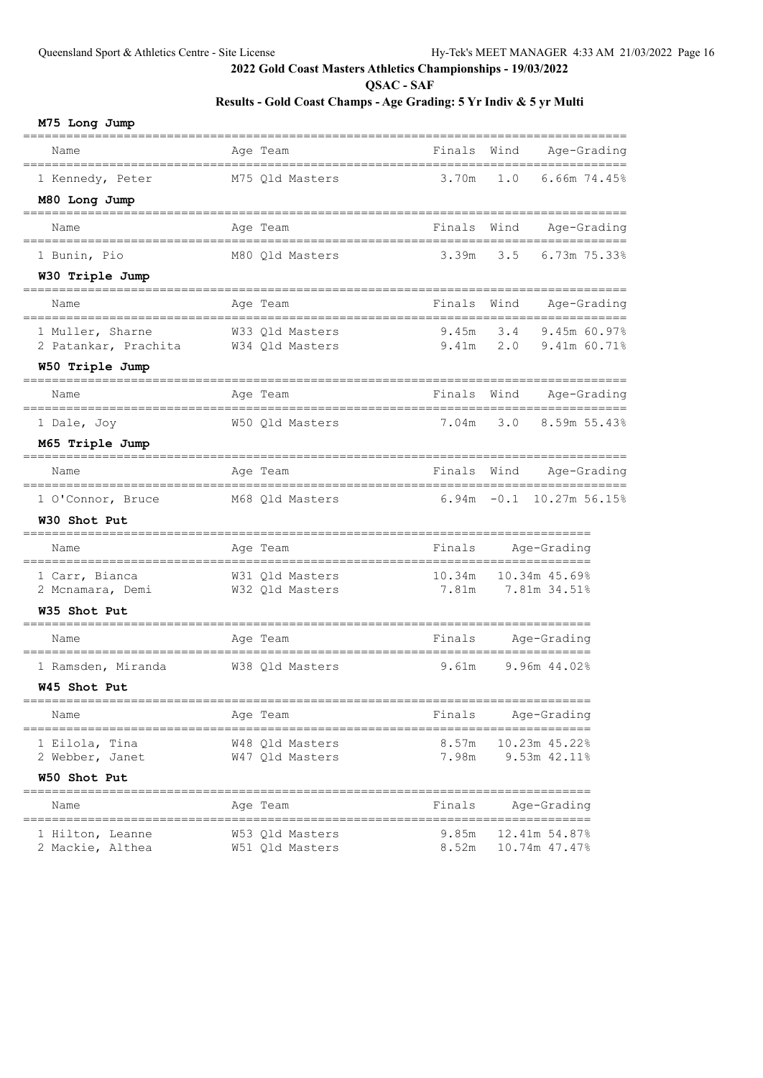**QSAC - SAF**

|  | M75 Long Jump |  |
|--|---------------|--|
|--|---------------|--|

| Name                                    | Age Team                           | Finals             | Wind | Age-Grading                    |
|-----------------------------------------|------------------------------------|--------------------|------|--------------------------------|
| 1 Kennedy, Peter                        | M75 Qld Masters                    | 3.70m              | 1.0  | 6.66m 74.45%                   |
| M80 Long Jump                           |                                    |                    |      |                                |
| Name                                    | Age Team                           | Finals             | Wind | Age-Grading                    |
| 1 Bunin, Pio                            | M80 Qld Masters                    | 3.39m              | 3.5  | 6.73m 75.33%                   |
| W30 Triple Jump                         |                                    |                    |      |                                |
| Name                                    | Age Team                           | Finals             | Wind | Age-Grading                    |
| 1 Muller, Sharne                        | W33 Qld Masters                    | 9.45m              | 3.4  | 9.45m 60.97%                   |
| 2 Patankar, Prachita<br>W50 Triple Jump | W34 Qld Masters                    | 9.41m              | 2.0  | 9.41m 60.71%                   |
|                                         |                                    |                    |      |                                |
| Name                                    | Age Team                           | Finals             | Wind | Age-Grading                    |
| 1 Dale, Joy                             | W50 Qld Masters                    | 7.04m              | 3.0  | 8.59m 55.43%                   |
| M65 Triple Jump                         |                                    |                    |      |                                |
| Name                                    | Age Team                           | Finals Wind        |      | Age-Grading                    |
| 1 O'Connor, Bruce                       | M68 Qld Masters                    |                    |      | 6.94m -0.1 10.27m 56.15%       |
| W30 Shot Put                            |                                    |                    |      |                                |
| Name                                    | Age Team                           | Finals Age-Grading |      | =================              |
| 1 Carr, Bianca                          | W31 Qld Masters                    | 10.34m             |      | 10.34m 45.69%                  |
| 2 Mcnamara, Demi<br>W35 Shot Put        | W32 Qld Masters                    | 7.81m              |      | 7.81m 34.51%                   |
|                                         |                                    |                    |      |                                |
| Name                                    | Age Team                           | Finals Age-Grading |      |                                |
| 1 Ramsden, Miranda                      | W38 Qld Masters                    | 9.61m              |      | 9.96m 44.02%                   |
| W45 Shot Put                            |                                    |                    |      |                                |
| Name                                    | Age Team                           | Finals             |      | Age-Grading                    |
| 1 Eilola, Tina                          | W48 Qld Masters                    | 8.57m              |      | 10.23m 45.22%                  |
| 2 Webber, Janet                         | W47 Qld Masters                    | 7.98m              |      | 9.53m 42.11%                   |
| W50 Shot Put                            |                                    |                    |      |                                |
| Name                                    | Age Team                           | Finals             |      | Age-Grading                    |
| 1 Hilton, Leanne                        | W53 Qld Masters<br>W51 Qld Masters | 9.85m<br>8.52m     |      | 12.41m 54.87%<br>10.74m 47.47% |
| 2 Mackie, Althea                        |                                    |                    |      |                                |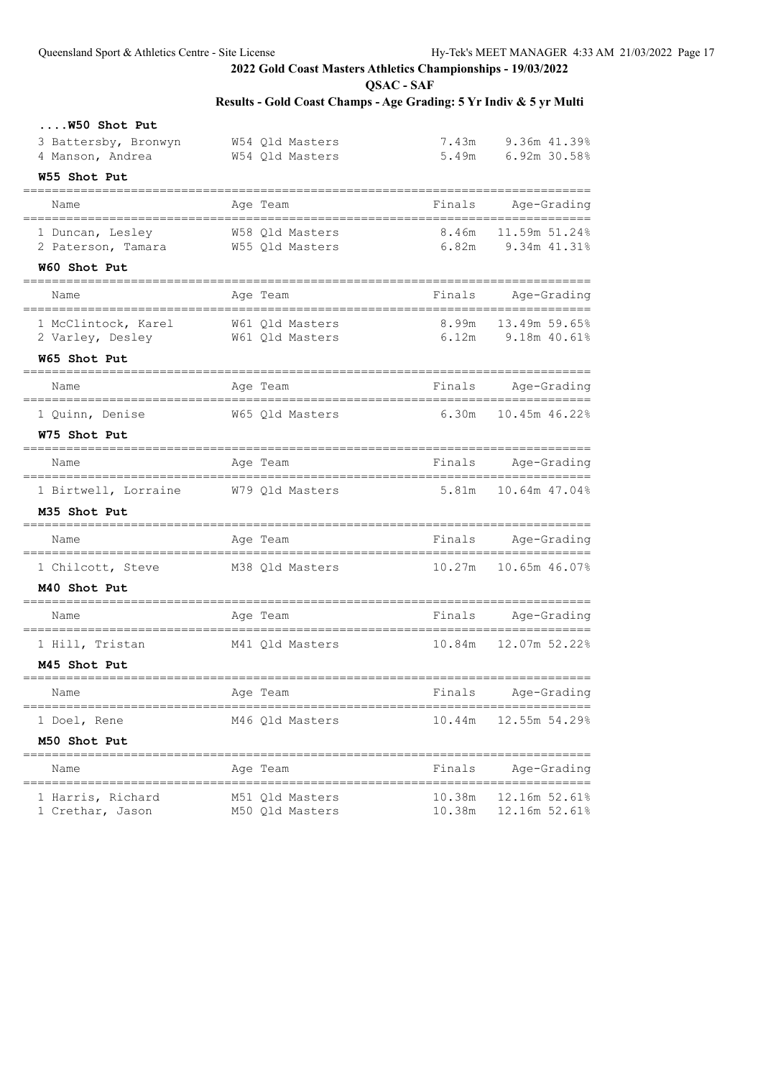**QSAC - SAF**

| W50 Shot Put                                          |                                       |                                        |                            |
|-------------------------------------------------------|---------------------------------------|----------------------------------------|----------------------------|
| 3 Battersby, Bronwyn                                  | W54 Qld Masters                       |                                        | 7.43m 9.36m 41.39%         |
| 4 Manson, Andrea                                      | W54 Qld Masters                       |                                        | 5.49m 6.92m 30.58%         |
| W55 Shot Put                                          |                                       |                                        |                            |
| Name                                                  | Age Team                              | Finals                                 | Age-Grading                |
| 1 Duncan, Lesley 658 Qld Masters                      |                                       |                                        | 8.46m 11.59m 51.24%        |
| 2 Paterson, Tamara M55 Qld Masters                    |                                       |                                        | 6.82m 9.34m 41.31%         |
| W60 Shot Put                                          |                                       |                                        |                            |
| Name                                                  | Age Team                              |                                        | Finals Age-Grading         |
| 1 McClintock, Karel W61 Qld Masters                   |                                       |                                        | 8.99m 13.49m 59.65%        |
| 2 Varley, Desley                                      | W61 Qld Masters                       |                                        | $6.12m$ 9.18m $40.61\%$    |
| W65 Shot Put<br>===================================   | ------------------------------------- |                                        |                            |
| Name                                                  | Age Team                              |                                        | Finals Age-Grading         |
|                                                       | 1 Quinn, Denise 67 65 Qld Masters     |                                        | $6.30m$ $10.45m$ $46.22\%$ |
| W75 Shot Put                                          |                                       |                                        |                            |
| Name                                                  | Age Team                              |                                        | Finals Age-Grading         |
|                                                       | 1 Birtwell, Lorraine M79 Qld Masters  |                                        |                            |
| M35 Shot Put                                          |                                       |                                        |                            |
| Name                                                  | Age Team                              |                                        | Finals Age-Grading         |
|                                                       | 1 Chilcott, Steve M38 Qld Masters     |                                        | 10.27m    10.65m    46.07% |
| M40 Shot Put                                          |                                       |                                        |                            |
| Name                                                  | Age Team                              |                                        | Finals Age-Grading         |
| 1 Hill, Tristan                                       | M41 Qld Masters 10.84m 12.07m 52.22%  |                                        |                            |
| M45 Shot Put                                          |                                       |                                        |                            |
| Name                                                  | Age Team                              | Finals                                 | Age-Grading                |
| ========================<br>1 Doel, Rene              | M46 Qld Masters                       | 10.44m                                 | 12.55m 54.29%              |
| M50 Shot Put                                          |                                       |                                        |                            |
| Name                                                  | Age Team                              | Finals                                 | Age-Grading                |
| ================================<br>1 Harris, Richard | M51 Qld Masters                       | ----------------------------<br>10.38m | 12.16m 52.61%              |
| 1 Crethar, Jason                                      | M50 Qld Masters                       | 10.38m                                 | 12.16m 52.61%              |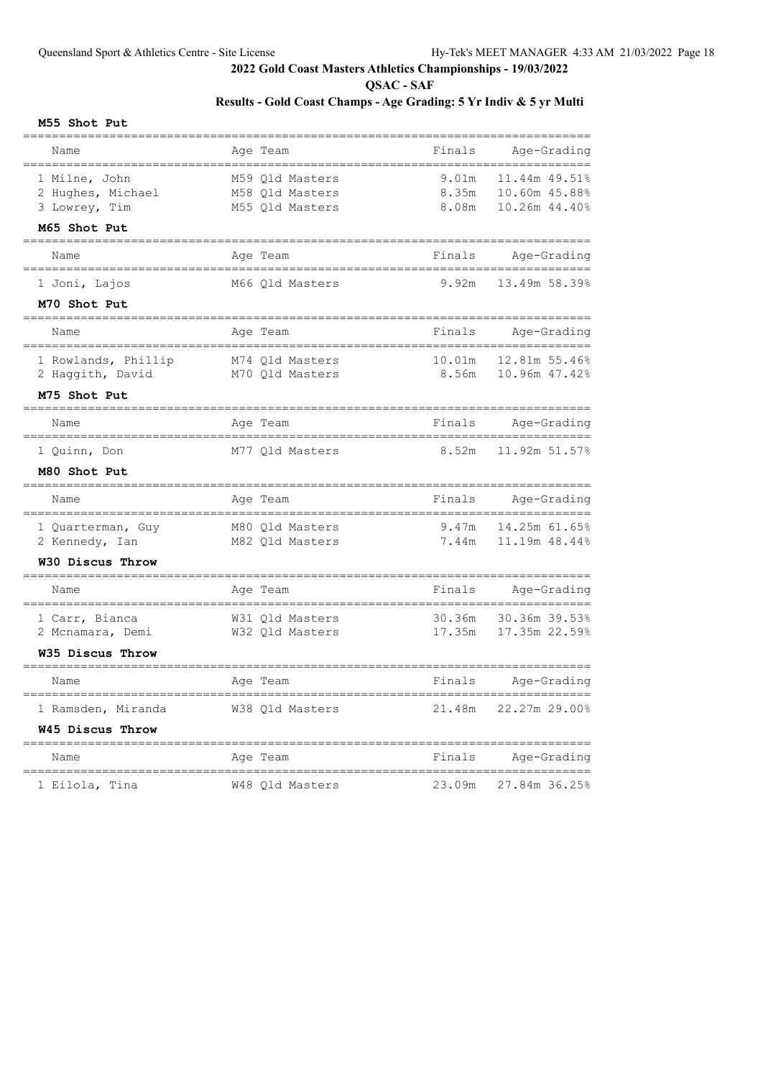**QSAC - SAF**

# **Results - Gold Coast Champs - Age Grading: 5 Yr Indiv & 5 yr Multi**

#### **M55 Shot Put**

| Name                                                                | Age Team                                              | Finals                  | Age-Grading<br>-----                               |
|---------------------------------------------------------------------|-------------------------------------------------------|-------------------------|----------------------------------------------------|
| 1 Milne, John<br>2 Hughes, Michael<br>3 Lowrey, Tim<br>M65 Shot Put | M59 Old Masters<br>M58 Qld Masters<br>M55 Qld Masters | 9.01m<br>8.35m<br>8.08m | 11.44m 49.51%<br>10.60m 45.88%<br>10.26m 44.40%    |
| Name                                                                | Aqe Team                                              | Finals                  | Age-Grading                                        |
| =============<br>1 Joni, Lajos<br>M70 Shot Put                      | --------------------<br>M66 Qld Masters               | 9.92m                   | _________________________________<br>13.49m 58.39% |
| Name                                                                | Age Team                                              | Finals                  | Age-Grading                                        |
| 1 Rowlands, Phillip<br>2 Haggith, David                             | M74 Qld Masters<br>M70 Qld Masters                    | 10.01m<br>8.56m         | 12.81m 55.46%<br>10.96m 47.42%                     |
| M75 Shot Put<br>===============                                     |                                                       |                         |                                                    |
| Name                                                                | Age Team                                              | Finals                  | Age-Grading                                        |
| 1 Quinn, Don                                                        | M77 Qld Masters                                       | 8.52m                   | 11.92m 51.57%                                      |
| M80 Shot Put<br>==============                                      |                                                       |                         |                                                    |
| Name<br>---------------------                                       | Age Team                                              | Finals                  | Age-Grading<br>;==========                         |
| 1 Quarterman, Guy<br>2 Kennedy, Ian<br>W30 Discus Throw             | M80 Qld Masters<br>M82 Qld Masters                    | 9.47m<br>7.44m          | 14.25m 61.65%<br>11.19m 48.44%                     |
| ==========<br>Name                                                  |                                                       | Finals                  | Age-Grading                                        |
|                                                                     | Age Team                                              |                         |                                                    |
| 1 Carr, Bianca<br>2 Mcnamara, Demi                                  | W31 Old Masters<br>W32 Qld Masters                    | 30.36m<br>17.35m        | 30.36m 39.53%<br>17.35m 22.59%                     |
| W35 Discus Throw                                                    |                                                       |                         |                                                    |
| Name                                                                | Age Team                                              | Finals                  | Age-Grading                                        |
| =====================<br>1 Ramsden, Miranda                         | W38 Qld Masters                                       | 21.48m                  | 22.27m 29.00%                                      |
| W45 Discus Throw                                                    |                                                       |                         |                                                    |
| Name                                                                | Age Team                                              | Finals                  | Age-Grading                                        |
| 1 Eilola, Tina                                                      | W48 Qld Masters                                       | 23.09m                  | 27.84m 36.25%                                      |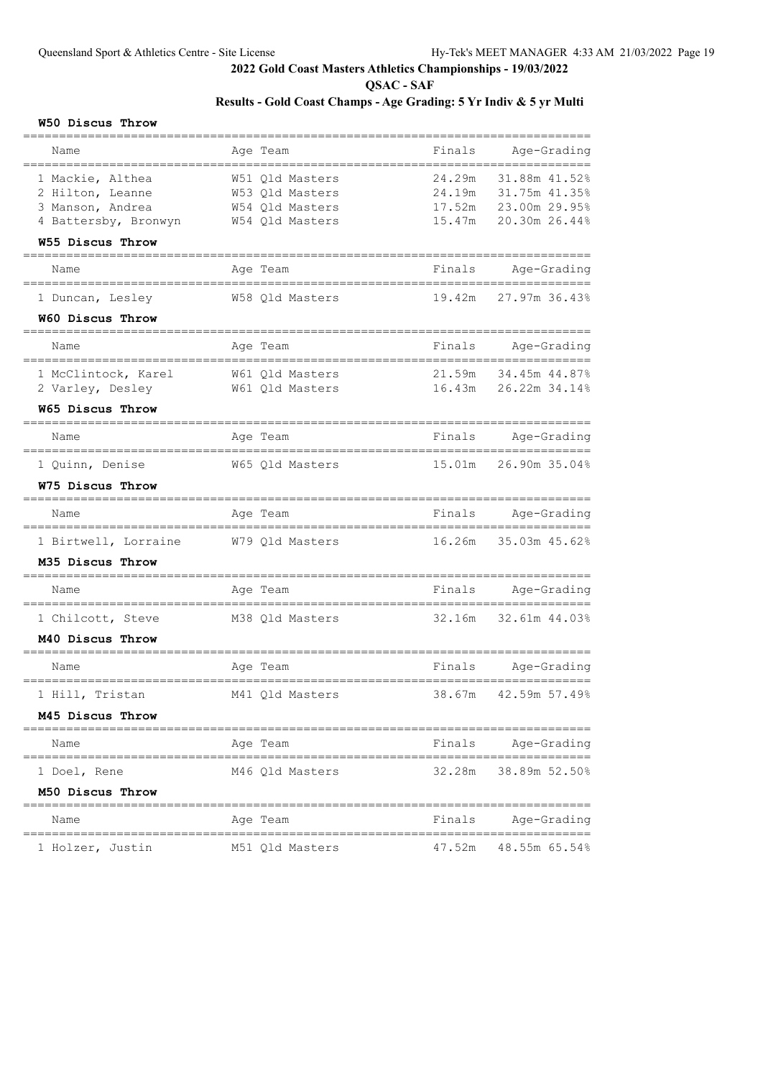**QSAC - SAF**

# **Results - Gold Coast Champs - Age Grading: 5 Yr Indiv & 5 yr Multi**

#### **W50 Discus Throw**

| Name                                 | Age Team                           | Finals           | Age-Grading                       |
|--------------------------------------|------------------------------------|------------------|-----------------------------------|
|                                      |                                    |                  |                                   |
| 1 Mackie, Althea<br>2 Hilton, Leanne | W51 Qld Masters<br>W53 Qld Masters | 24.29m<br>24.19m | 31.88m 41.52%<br>31.75m 41.35%    |
| 3 Manson, Andrea                     | W54 Qld Masters                    | 17.52m           | 23.00m 29.95%                     |
| 4 Battersby, Bronwyn                 | W54 Qld Masters                    | 15.47m           | 20.30m 26.44%                     |
| W55 Discus Throw                     |                                    |                  |                                   |
| Name                                 | Age Team                           | Finals           | Age-Grading<br>================== |
| 1 Duncan, Lesley                     | W58 Qld Masters                    | 19.42m           | 27.97m 36.43%                     |
| W60 Discus Throw                     |                                    |                  |                                   |
| Name                                 | Age Team                           | Finals           | Age-Grading<br>.==============    |
| 1 McClintock, Karel                  | W61 Qld Masters                    | 21.59m           | 34.45m 44.87%                     |
| 2 Varley, Desley                     | W61 Old Masters                    | 16.43m           | 26.22m 34.14%                     |
| W65 Discus Throw<br>-------------    |                                    |                  |                                   |
| Name<br>==============               | Age Team                           | Finals           | Age-Grading                       |
| 1 Quinn, Denise                      | W65 Qld Masters                    | 15.01m           | 26.90m 35.04%                     |
| W75 Discus Throw                     |                                    |                  |                                   |
| Name                                 | Age Team                           | Finals           | Age-Grading<br>================   |
| 1 Birtwell, Lorraine                 | W79 Qld Masters                    | 16.26m           | 35.03m 45.62%                     |
| M35 Discus Throw                     |                                    |                  |                                   |
| Name                                 | Age Team                           | Finals           | Age-Grading                       |
| 1 Chilcott, Steve                    | M38 Qld Masters                    | 32.16m           | 32.61m 44.03%                     |
| M40 Discus Throw                     |                                    |                  |                                   |
| Name                                 | Age Team                           | Finals           | Age-Grading                       |
| 1 Hill, Tristan                      | M41 Qld Masters                    | 38.67m           | ========<br>42.59m 57.49%         |
| M45 Discus Throw                     |                                    |                  |                                   |
| Name                                 | Age Team                           | Finals           | Age-Grading                       |
| 1 Doel, Rene                         | M46 Qld Masters                    | 32.28m           | 38.89m 52.50%                     |
| M50 Discus Throw                     |                                    |                  |                                   |
| Name                                 | Age Team                           | Finals           | Age-Grading                       |
| 1 Holzer, Justin                     | M51 Qld Masters                    | 47.52m           | 48.55m 65.54%                     |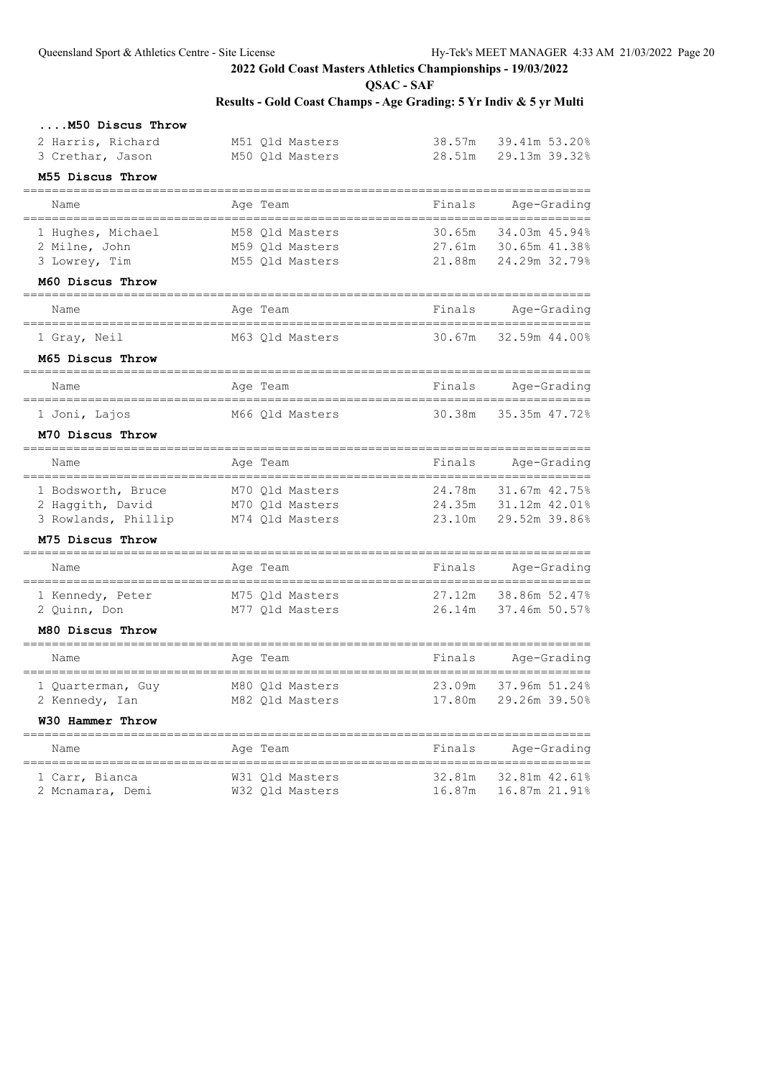**QSAC - SAF**

| 38.57m<br>28.51m<br>Finals<br>30.65m<br>27.61m<br>21.88m | 39.41m 53.20%<br>29.13m 39.32%<br>34.03m 45.94%<br>30.65m 41.38%<br>24.29m 32.79% |
|----------------------------------------------------------|-----------------------------------------------------------------------------------|
|                                                          | Age-Grading                                                                       |
|                                                          |                                                                                   |
|                                                          |                                                                                   |
|                                                          |                                                                                   |
|                                                          |                                                                                   |
|                                                          |                                                                                   |
|                                                          |                                                                                   |
|                                                          |                                                                                   |
| Finals                                                   | Age-Grading                                                                       |
| 30.67m                                                   | 32.59m 44.00%                                                                     |
|                                                          |                                                                                   |
| Finals                                                   | Age-Grading                                                                       |
| 30.38m                                                   | 35.35m 47.72%                                                                     |
|                                                          |                                                                                   |
| Finals                                                   | Age-Grading                                                                       |
| 24.78m                                                   | 31.67m 42.75%                                                                     |
| 24.35m                                                   | 31.12m 42.01%                                                                     |
| 23.10m                                                   | 29.52m 39.86%                                                                     |
|                                                          |                                                                                   |
| Finals                                                   | Age-Grading                                                                       |
| 27.12m                                                   | 38.86m 52.47%                                                                     |
| 26.14m                                                   | 37.46m 50.57%                                                                     |
|                                                          |                                                                                   |
| Finals                                                   | Age-Grading                                                                       |
|                                                          | 37.96m 51.24%                                                                     |
| 23.09m                                                   |                                                                                   |
| 17.80m                                                   | 29.26m 39.50%                                                                     |
|                                                          |                                                                                   |
| Finals                                                   | Age-Grading                                                                       |
| 32.81m                                                   | 32.81m 42.61%<br>16.87m 21.91%                                                    |
|                                                          |                                                                                   |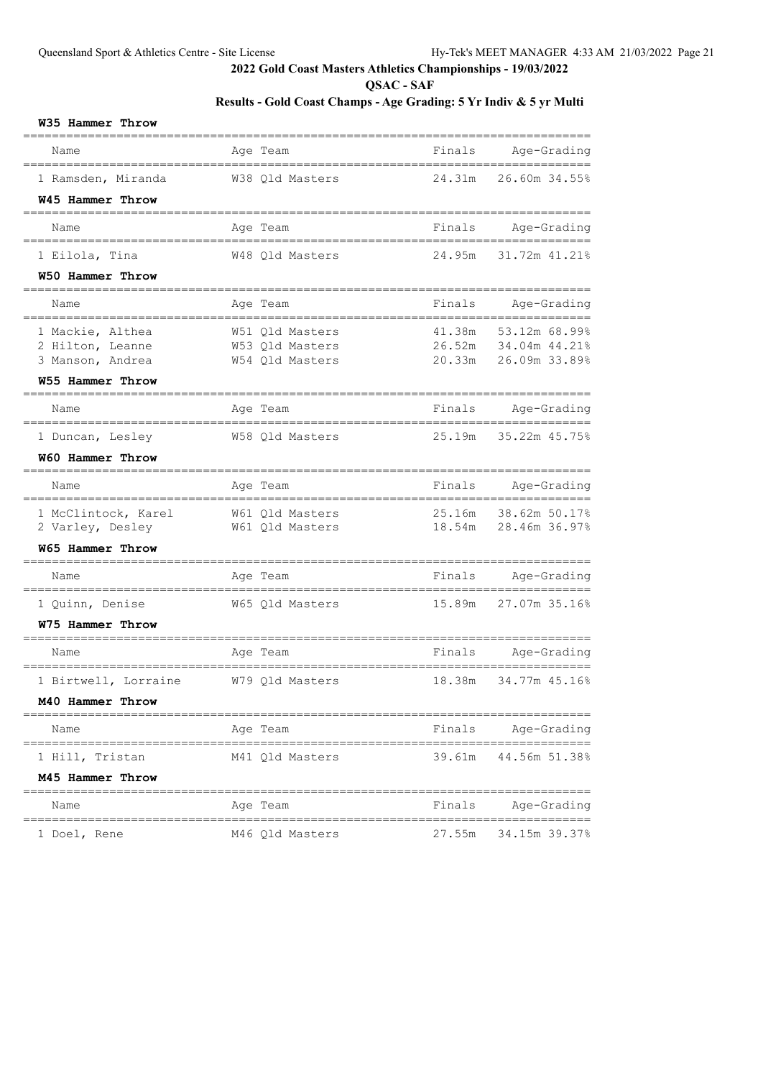**QSAC - SAF**

| W35 Hammer Throw                                                             |                                                       |                          |                                                        |
|------------------------------------------------------------------------------|-------------------------------------------------------|--------------------------|--------------------------------------------------------|
| Name                                                                         | Age Team                                              | Finals                   | Age-Grading                                            |
| 1 Ramsden, Miranda<br>W45 Hammer Throw                                       | W38 Qld Masters                                       | 24.31m                   | 26.60m 34.55%                                          |
| ================<br>Name                                                     | Age Team                                              | Finals                   | Age-Grading                                            |
| 1 Eilola, Tina                                                               | W48 Old Masters                                       | 24.95m                   | 31.72m 41.21%                                          |
| W50 Hammer Throw                                                             |                                                       |                          |                                                        |
| Name                                                                         | Age Team                                              | Finals                   | Age-Grading                                            |
| 1 Mackie, Althea<br>2 Hilton, Leanne<br>3 Manson, Andrea<br>W55 Hammer Throw | W51 Qld Masters<br>W53 Qld Masters<br>W54 Qld Masters | 41.38m<br>20.33m         | 53.12m 68.99%<br>26.52m 34.04m 44.21%<br>26.09m 33.89% |
| Name                                                                         | Age Team                                              | Finals                   | Age-Grading                                            |
| 1 Duncan, Lesley<br>W60 Hammer Throw                                         | W58 Qld Masters                                       | 25.19m                   | 35.22m 45.75%                                          |
| Name                                                                         | Age Team                                              | Finals                   | Age-Grading                                            |
| 1 McClintock, Karel<br>2 Varley, Desley<br>W65 Hammer Throw                  | W61 Qld Masters<br>W61 Qld Masters                    | 25.16m<br>18.54m         | 38.62m 50.17%<br>28.46m 36.97%                         |
| Name                                                                         | Age Team                                              | Finals                   | Age-Grading                                            |
| 1 Quinn, Denise<br>W75 Hammer Throw                                          | W65 Qld Masters                                       | 15.89m                   | --------------<br>27.07m 35.16%                        |
| Name                                                                         | Age Team                                              | Finals                   | Age-Grading                                            |
| 1 Birtwell, Lorraine<br>M40 Hammer Throw                                     | W79 Qld Masters                                       | 18.38m                   | 34.77m 45.16%                                          |
| ===============================<br>Name                                      | Age Team                                              | ________________________ | Finals Age-Grading                                     |
| 1 Hill, Tristan<br>M45 Hammer Throw                                          | M41 Qld Masters                                       |                          | 39.61m 44.56m 51.38%                                   |
| Name                                                                         | Age Team                                              |                          | Finals Age-Grading                                     |
| 1 Doel, Rene                                                                 |                                                       |                          |                                                        |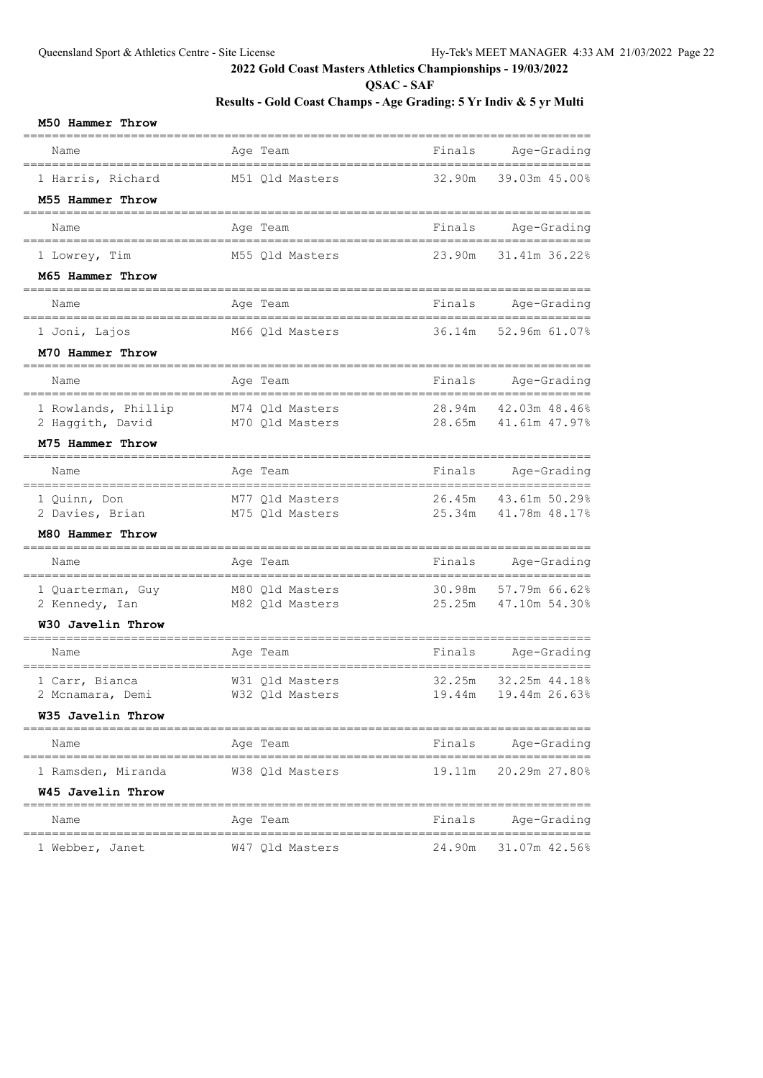**QSAC - SAF**

| M50 Hammer Throw                        |                                                      |        |                                    |
|-----------------------------------------|------------------------------------------------------|--------|------------------------------------|
| Name                                    | Age Team                                             | Finals | Age-Grading                        |
| 1 Harris, Richard                       | M51 Qld Masters                                      | 32.90m | 39.03m 45.00%                      |
| M55 Hammer Throw                        |                                                      |        |                                    |
| Name<br>==================              | Age Team                                             | Finals | Age-Grading<br>___________________ |
| 1 Lowrey, Tim                           | M55 Qld Masters                                      | 23.90m | 31.41m 36.22%                      |
| M65 Hammer Throw                        |                                                      |        |                                    |
| Name                                    | Age Team                                             | Finals | Age-Grading                        |
| :================<br>1 Joni, Lajos      | _________________________________<br>M66 Qld Masters | 36.14m | ===============<br>52.96m 61.07%   |
| M70 Hammer Throw                        |                                                      |        |                                    |
| Name                                    | Age Team                                             | Finals | Age-Grading                        |
| 1 Rowlands, Phillip                     | M74 Qld Masters                                      | 28.94m | 42.03m 48.46%                      |
| 2 Haggith, David                        | M70 Qld Masters                                      | 28.65m | 41.61m 47.97%                      |
| M75 Hammer Throw                        |                                                      |        |                                    |
| Name<br>=============================== | Age Team<br>___________________________              | Finals | Age-Grading<br>===============     |
| 1 Quinn, Don                            | M77 Qld Masters                                      | 26.45m | 43.61m 50.29%                      |
| 2 Davies, Brian<br>M80 Hammer Throw     | M75 Qld Masters                                      | 25.34m | 41.78m 48.17%                      |
| =======================                 |                                                      |        | ===============                    |
| Name                                    | Age Team                                             | Finals | Age-Grading                        |
| 1 Quarterman, Guy                       | M80 Qld Masters                                      | 30.98m | 57.79m 66.62%                      |
| 2 Kennedy, Ian                          | M82 Qld Masters                                      | 25.25m | 47.10m 54.30%                      |
| W30 Javelin Throw                       |                                                      |        |                                    |
| Name                                    | Age Team                                             | Finals | Age-Grading                        |
| 1 Carr, Bianca                          | W31 Qld Masters                                      | 32.25m | 32.25m 44.18%                      |
| 2 Mcnamara, Demi                        | W32 Qld Masters                                      |        | 19.44m  19.44m  26.63%             |
| W35 Javelin Throw                       |                                                      |        |                                    |
| Name<br>----------                      | Age Team                                             | Finals | Age-Grading                        |
| 1 Ramsden, Miranda                      | W38 Qld Masters                                      | 19.11m | 20.29m 27.80%                      |
| W45 Javelin Throw                       |                                                      |        |                                    |
| Name                                    | Age Team                                             | Finals | Age-Grading                        |
| 1 Webber, Janet                         | W47 Qld Masters                                      |        | 24.90m 31.07m 42.56%               |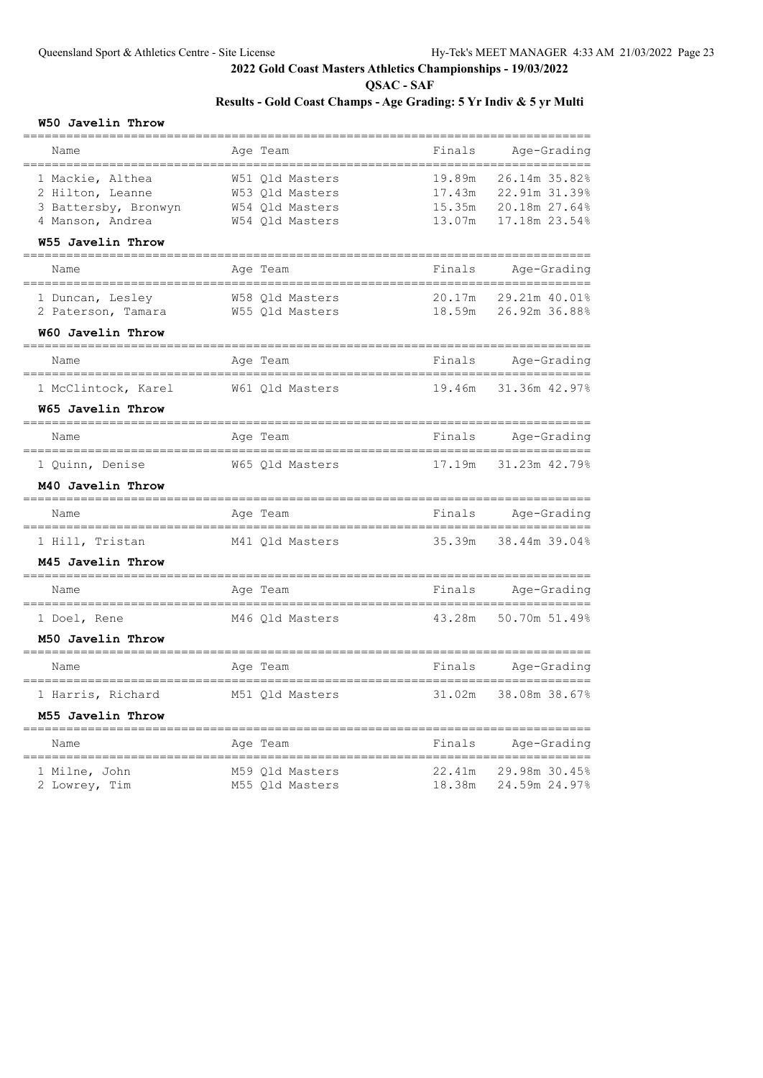**QSAC - SAF**

## **Results - Gold Coast Champs - Age Grading: 5 Yr Indiv & 5 yr Multi**

#### **W50 Javelin Throw**

| Name<br>____________                                                                                  | Age Team                                                                 | Finals                               | Age-Grading<br>==========================                        |
|-------------------------------------------------------------------------------------------------------|--------------------------------------------------------------------------|--------------------------------------|------------------------------------------------------------------|
| 1 Mackie, Althea<br>2 Hilton, Leanne<br>3 Battersby, Bronwyn<br>4 Manson, Andrea<br>W55 Javelin Throw | W51 Old Masters<br>W53 Qld Masters<br>W54 Qld Masters<br>W54 Qld Masters | 19.89m<br>17.43m<br>15.35m<br>13.07m | 26.14m 35.82%<br>22.91m 31.39%<br>20.18m 27.64%<br>17.18m 23.54% |
| __________________<br>Name                                                                            | Aqe Team                                                                 | Finals                               | Age-Grading                                                      |
| 1 Duncan, Lesley<br>2 Paterson, Tamara<br>W60 Javelin Throw                                           | W58 Old Masters<br>W55 Qld Masters                                       | 20.17m<br>18.59m                     | 29.21m 40.01%<br>26.92m 36.88%                                   |
| Name                                                                                                  | Age Team                                                                 | Finals                               | Age-Grading                                                      |
| ====================<br>1 McClintock, Karel<br>W65 Javelin Throw                                      | W61 Qld Masters                                                          | 19.46m                               | 31.36m 42.97%                                                    |
| =====================<br>Name                                                                         | Age Team                                                                 | Finals                               | Age-Grading                                                      |
| 1 Quinn, Denise<br>M40 Javelin Throw                                                                  | W65 Qld Masters                                                          | 17.19m                               | 31.23m 42.79%                                                    |
| =========================<br>Name                                                                     | Age Team                                                                 | Finals                               | Age-Grading                                                      |
| ========================<br>1 Hill, Tristan<br>M45 Javelin Throw                                      | ;=======================<br>M41 Qld Masters                              | 35.39m                               | =================<br>38.44m 39.04%                               |
| Name                                                                                                  | Age Team                                                                 | Finals                               | Age-Grading                                                      |
| ==============<br>1 Doel, Rene<br>M50 Javelin Throw                                                   | ------------<br>M46 Qld Masters                                          | 43.28m                               | ______________________________________<br>50.70m 51.49%          |
| =====================<br>Name                                                                         | Age Team                                                                 | Finals                               | Age-Grading                                                      |
| 1 Harris, Richard<br>M55 Javelin Throw                                                                | M51 Qld Masters                                                          | 31.02m                               | 38.08m 38.67%                                                    |
| Name                                                                                                  | Age Team                                                                 | Finals                               | Age-Grading                                                      |
| 1 Milne, John<br>2 Lowrey, Tim                                                                        | M59 Old Masters<br>M55 Qld Masters                                       | 22.41m<br>18.38m                     | 29.98m 30.45%<br>24.59m 24.97%                                   |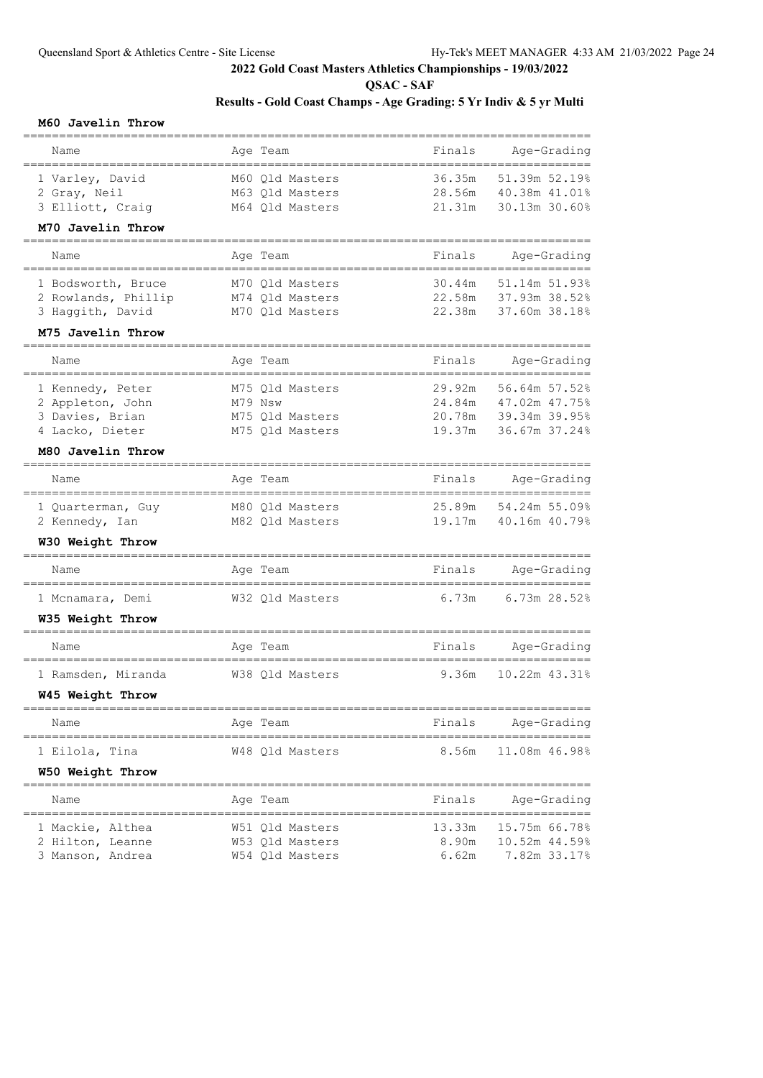**QSAC - SAF**

# **Results - Gold Coast Champs - Age Grading: 5 Yr Indiv & 5 yr Multi**

#### **M60 Javelin Throw**

| Name                                      | Age Team                                          | Finals           | Age-Grading               |
|-------------------------------------------|---------------------------------------------------|------------------|---------------------------|
|                                           |                                                   |                  |                           |
| 1 Varley, David                           | M60 Qld Masters                                   | 36.35m           | 51.39m 52.19%             |
| 2 Gray, Neil                              | M63 Qld Masters                                   | 28.56m           | 40.38m 41.01%             |
| 3 Elliott, Craig                          | M64 Qld Masters                                   | 21.31m           | 30.13m 30.60%             |
| M70 Javelin Throw                         |                                                   |                  |                           |
| Name                                      | Age Team                                          | Finals           | Age-Grading<br>========== |
| 1 Bodsworth, Bruce                        | M70 Qld Masters                                   | 30.44m           | 51.14m 51.93%             |
| 2 Rowlands, Phillip                       | M74 Qld Masters                                   | 22.58m           | 37.93m 38.52%             |
| 3 Haggith, David                          | M70 Qld Masters                                   | 22.38m           | 37.60m 38.18%             |
| M75 Javelin Throw                         |                                                   |                  |                           |
| Name                                      | Age Team                                          | Finals           | Age-Grading               |
| -----------<br>1 Kennedy, Peter           | M75 Qld Masters                                   | 29.92m           | ======<br>56.64m 57.52%   |
| 2 Appleton, John                          | M79 Nsw                                           | 24.84m           | 47.02m 47.75%             |
| 3 Davies, Brian                           | M75 Qld Masters                                   | 20.78m           | 39.34m 39.95%             |
| 4 Lacko, Dieter                           | M75 Old Masters                                   | 19.37m           | 36.67m 37.24%             |
| M80 Javelin Throw<br>==================== |                                                   |                  |                           |
| Name<br>====================              | Age Team<br>===================================== | Finals           | Age-Grading<br>========== |
| 1 Quarterman, Guy                         | M80 Qld Masters                                   | 25.89m           | 54.24m 55.09%             |
| 2 Kennedy, Ian                            | M82 Qld Masters                                   | 19.17m           | 40.16m 40.79%             |
| W30 Weight Throw<br>=============         |                                                   |                  |                           |
| Name<br>===============                   | Age Team<br>=============                         | Finals           | Age-Grading<br>=========  |
| 1 Mcnamara, Demi                          | W32 Qld Masters                                   | 6.73m            | 6.73m 28.52%              |
| W35 Weight Throw<br>================      |                                                   | ,,,,,,,,,,,,,,,, |                           |
| Name                                      | Aqe Team                                          | Finals           | Age-Grading<br>======     |
| 1 Ramsden, Miranda                        | W38 Qld Masters                                   | 9.36m            | 10.22m 43.31%             |
| W45 Weight Throw                          |                                                   |                  |                           |
| Name                                      | Age Team                                          | Finals           | Age-Grading               |
| 1 Eilola, Tina                            | W48 Old Masters                                   | 8.56m            | 11.08m 46.98%             |
| W50 Weight Throw                          |                                                   |                  |                           |
| Name                                      | Age Team                                          | Finals           | Age-Grading               |
| 1 Mackie, Althea                          | W51 Old Masters                                   | 13.33m           | 15.75m 66.78%             |
| 2 Hilton, Leanne                          | W53 Old Masters                                   | 8.90m            | 10.52m 44.59%             |
| 3 Manson, Andrea                          | W54 Qld Masters                                   | 6.62m            | 7.82m 33.17%              |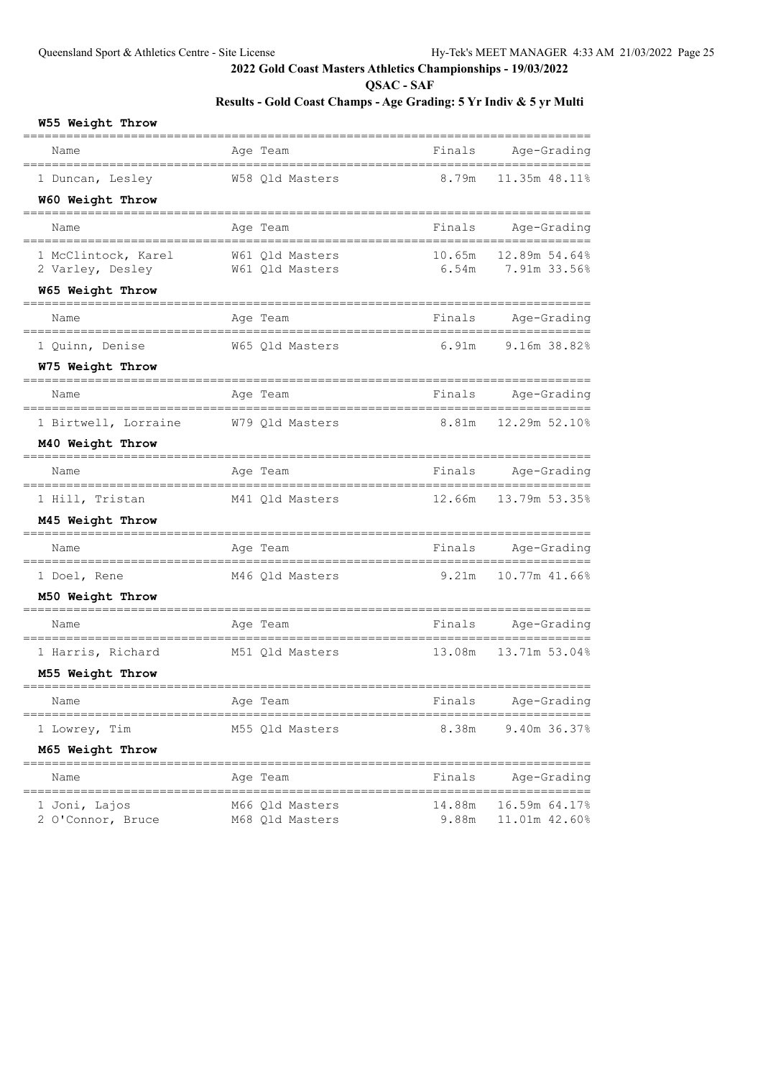**QSAC - SAF**

# **Results - Gold Coast Champs - Age Grading: 5 Yr Indiv & 5 yr Multi**

## **W55 Weight Throw**

| Name                                    | Age Team                           | Finals          | Age-Grading                                  |
|-----------------------------------------|------------------------------------|-----------------|----------------------------------------------|
| 1 Duncan, Lesley                        | W58 Qld Masters                    | 8.79m           | 11.35m 48.11%                                |
| W60 Weight Throw                        |                                    |                 |                                              |
| Name                                    | Age Team                           | Finals          | Age-Grading                                  |
| 1 McClintock, Karel<br>2 Varley, Desley | W61 Qld Masters<br>W61 Qld Masters | 10.65m<br>6.54m | 12.89m 54.64%<br>7.91m 33.56%                |
| W65 Weight Throw                        |                                    |                 |                                              |
| Name                                    | Age Team                           | Finals          | Age-Grading                                  |
| 1 Quinn, Denise                         | W65 Qld Masters                    | 6.91m           | ------<br>9.16m 38.82%                       |
| W75 Weight Throw                        |                                    |                 |                                              |
| Name                                    | Age Team                           | Finals          | Age-Grading                                  |
| 1 Birtwell, Lorraine                    | W79 Qld Masters                    | 8.81m           | $=$ $=$ $=$ $=$ $=$ $=$ $=$<br>12.29m 52.10% |
| M40 Weight Throw                        |                                    |                 |                                              |
| Name                                    | Age Team                           | Finals          | Age-Grading                                  |
| 1 Hill, Tristan                         | M41 Qld Masters                    | 12.66m          | 13.79m 53.35%                                |
| M45 Weight Throw                        |                                    |                 |                                              |
| Name                                    | Age Team                           | Finals          | Age-Grading<br>=======                       |
| 1 Doel, Rene                            | M46 Qld Masters                    | 9.21m           | 10.77m 41.66%                                |
| M50 Weight Throw                        |                                    |                 |                                              |
| Name                                    | Age Team                           | Finals          | Age-Grading<br>=====                         |
| 1 Harris, Richard                       | M51 Qld Masters                    | 13.08m          | 13.71m 53.04%                                |
| M55 Weight Throw                        |                                    |                 |                                              |
| Name                                    | Age Team                           | Finals          | Age-Grading                                  |
| 1 Lowrey, Tim                           | M55 Qld Masters                    | 8.38m           | 9.40m 36.37%                                 |
| M65 Weight Throw                        |                                    |                 |                                              |
| =================<br>Name               | Age Team                           | Finals          | Age-Grading                                  |
| 1 Joni, Lajos<br>2 O'Connor, Bruce      | M66 Qld Masters<br>M68 Qld Masters | 14.88m<br>9.88m | 16.59m 64.17%<br>11.01m 42.60%               |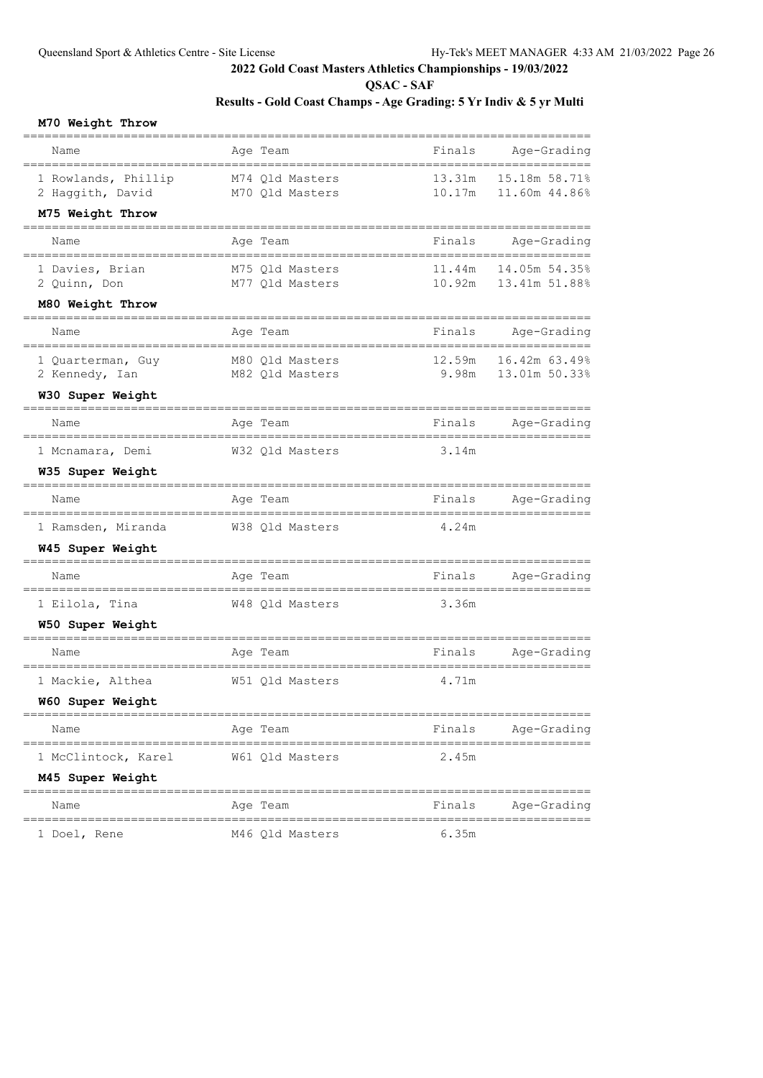**QSAC - SAF**

# **Results - Gold Coast Champs - Age Grading: 5 Yr Indiv & 5 yr Multi**

#### **M70 Weight Throw**

| Name                                    | Age Team                           | Finals           | Age-Grading                    |
|-----------------------------------------|------------------------------------|------------------|--------------------------------|
| 1 Rowlands, Phillip<br>2 Haggith, David | M74 Old Masters<br>M70 Qld Masters | 13.31m<br>10.17m | 15.18m 58.71%<br>11.60m 44.86% |
| M75 Weight Throw                        |                                    |                  |                                |
| Name                                    | Age Team                           | Finals           | Age-Grading                    |
| 1 Davies, Brian                         | M75 Qld Masters                    | 11.44m           | 14.05m 54.35%                  |
| 2 Quinn, Don<br>M80 Weight Throw        | M77 Qld Masters                    | 10.92m           | 13.41m 51.88%                  |
| Name                                    | Age Team                           | Finals           | Age-Grading                    |
| 1 Quarterman, Guy                       | M80 Qld Masters                    | 12.59m           | ===========<br>16.42m 63.49%   |
| 2 Kennedy, Ian                          | M82 Qld Masters                    | 9.98m            | 13.01m 50.33%                  |
| W30 Super Weight                        |                                    |                  |                                |
| Name                                    | Age Team                           | Finals           | Age-Grading                    |
| 1 Mcnamara, Demi                        | W32 Qld Masters                    | 3.14m            |                                |
| W35 Super Weight                        |                                    |                  |                                |
| Name                                    | Age Team                           | Finals           | Age-Grading                    |
| 1 Ramsden, Miranda                      | W38 Qld Masters                    | 4.24m            |                                |
| W45 Super Weight                        |                                    |                  |                                |
| Name                                    | Age Team                           | Finals           | Age-Grading                    |
| 1 Eilola, Tina                          | W48 Qld Masters                    | 3.36m            |                                |
| W50 Super Weight                        |                                    |                  |                                |
| Name                                    | Age Team                           | Finals           | Age-Grading                    |
| 1 Mackie, Althea                        | W51 Qld Masters                    | 4.71m            |                                |
| W60 Super Weight                        |                                    |                  |                                |
| Name                                    | Age Team                           | Finals           | Age-Grading                    |
| 1 McClintock, Karel                     | W61 Q1d Masters                    | 2.45m            |                                |
| M45 Super Weight                        |                                    |                  |                                |
| Name                                    | Age Team                           | Finals           | Age-Grading                    |
| 1 Doel, Rene                            | M46 Qld Masters                    | 6.35m            |                                |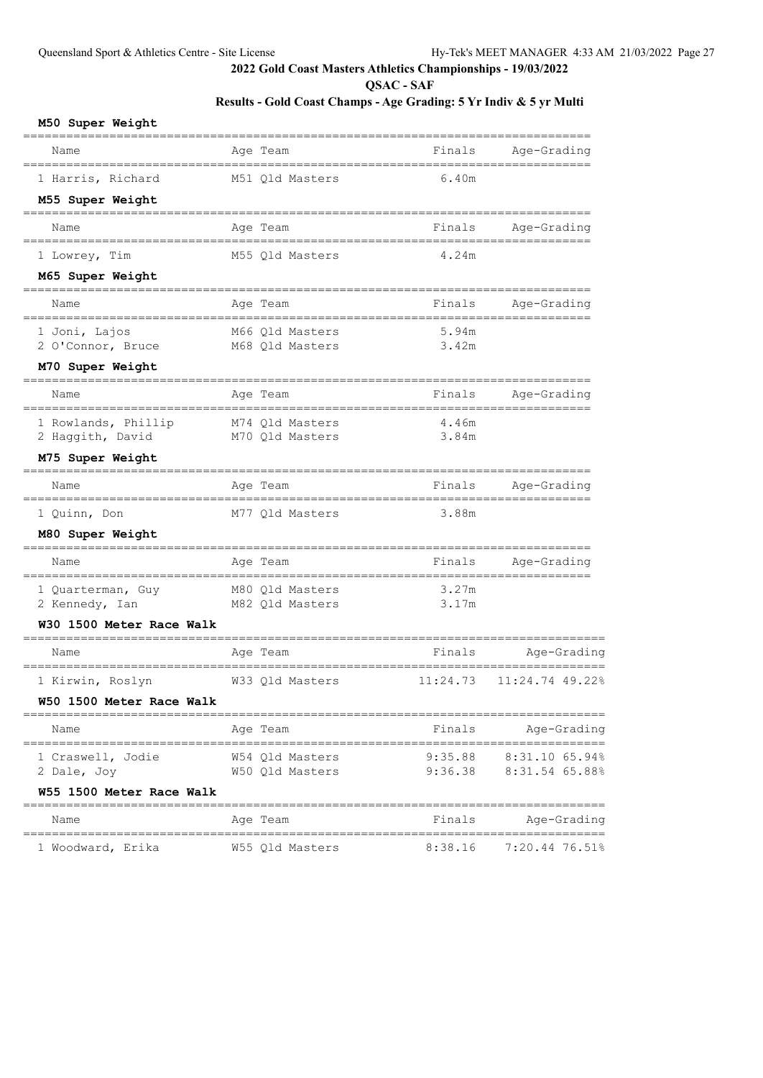**QSAC - SAF**

| M50 Super Weight                                      |                                         |                                        |                            |
|-------------------------------------------------------|-----------------------------------------|----------------------------------------|----------------------------|
| =================<br>Name                             | Age Team                                | Finals                                 | Age-Grading                |
| --------------------------------<br>1 Harris, Richard | --------------------<br>M51 Qld Masters | 6.40m                                  | --------------------       |
| M55 Super Weight<br>===========================       |                                         |                                        |                            |
| Name<br>--------------------------------              | Age Team                                | Finals                                 | Age-Grading                |
| 1 Lowrey, Tim                                         | M55 Qld Masters                         | 4.24m                                  |                            |
| M65 Super Weight<br>=========================         |                                         |                                        |                            |
| Name<br>____________________________                  | Age Team                                | Finals<br>============================ | Age-Grading                |
| 1 Joni, Lajos                                         | M66 Qld Masters                         | 5.94m                                  |                            |
| 2 O'Connor, Bruce<br>M70 Super Weight                 | M68 Qld Masters                         | 3.42m                                  |                            |
| ======================                                |                                         |                                        |                            |
| Name                                                  | Age Team                                | Finals                                 | Age-Grading                |
| 1 Rowlands, Phillip<br>2 Haggith, David               | M74 Qld Masters<br>M70 Qld Masters      | 4.46m<br>3.84m                         |                            |
| M75 Super Weight                                      |                                         |                                        |                            |
| Name                                                  | Age Team                                | Finals                                 | Age-Grading                |
| 1 Quinn, Don                                          | M77 Qld Masters                         | 3.88m                                  |                            |
| M80 Super Weight                                      |                                         |                                        |                            |
| Name                                                  | Age Team                                | Finals                                 | Age-Grading                |
| 1 Quarterman, Guy                                     | M80 Qld Masters                         | 3.27m                                  |                            |
| 2 Kennedy, Ian                                        | M82 Qld Masters                         | 3.17m                                  |                            |
| W30 1500 Meter Race Walk                              |                                         |                                        |                            |
| Name                                                  | Age Team                                | Finals                                 | Age-Grading                |
| 1 Kirwin, Roslyn                                      | W33 Qld Masters                         | 11:24.73                               | 11:24.74 49.22%            |
| W50 1500 Meter Race Walk                              |                                         |                                        |                            |
| Name                                                  | Age Team                                |                                        | Finals Age-Grading         |
| 1 Craswell, Jodie                                     | W54 Qld Masters                         |                                        | $9:35.88$ $8:31.10$ 65.94% |
| 2 Dale, Joy                                           | W50 Qld Masters                         |                                        | 9:36.38 8:31.54 65.88%     |
| W55 1500 Meter Race Walk                              |                                         | ----------------------------------     |                            |
| Name                                                  | Age Team                                |                                        | Finals Age-Grading         |
| 1 Woodward, Erika                                     | W55 Qld Masters                         |                                        | 8:38.16 7:20.44 76.51%     |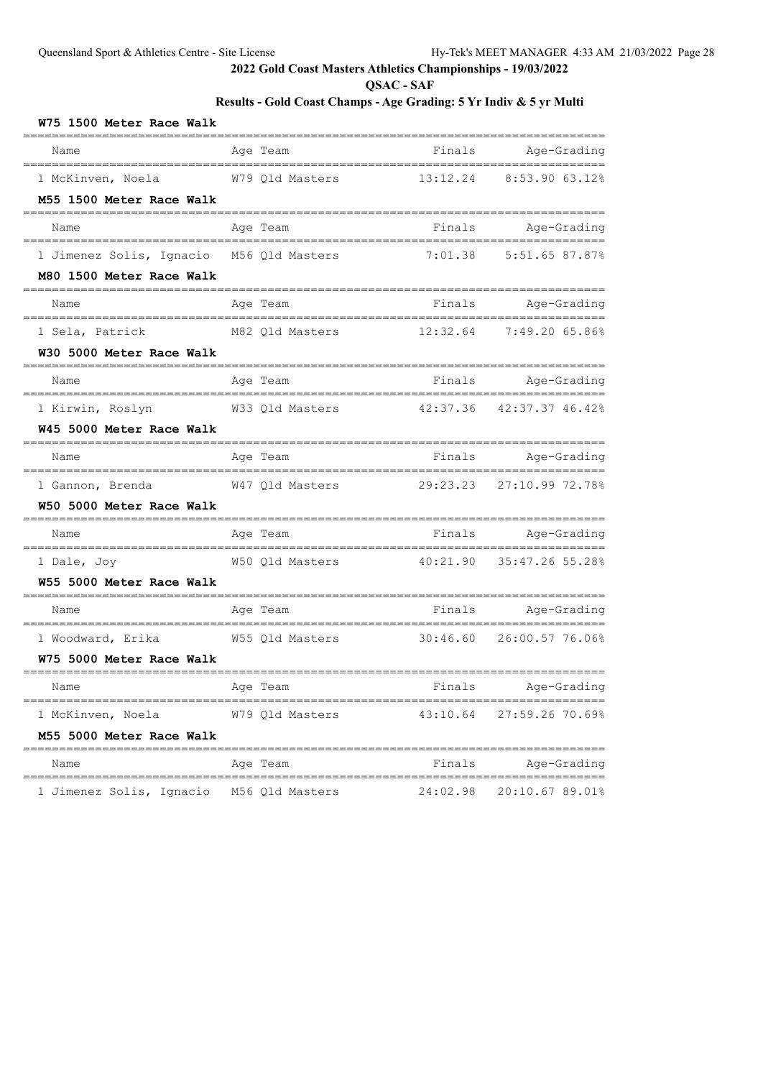**QSAC - SAF**

| W75 1500 Meter Race Walk                                        |                                                   |          |                    |
|-----------------------------------------------------------------|---------------------------------------------------|----------|--------------------|
| =======<br>=================================<br>Name            | Age Team                                          |          | Finals Age-Grading |
| 1 McKinven, Noela M79 Qld Masters 13:12.24 8:53.90 63.12%       |                                                   |          |                    |
| M55 1500 Meter Race Walk                                        |                                                   |          |                    |
| Name                                                            | Age Team                                          |          | Finals Age-Grading |
| 1 Jimenez Solis, Ignacio M56 Qld Masters 7:01.38 5:51.65 87.87% |                                                   |          |                    |
| M80 1500 Meter Race Walk                                        |                                                   |          |                    |
| Name<br>=====================================                   | Age Team                                          |          | Finals Age-Grading |
| 1 Sela, Patrick                                                 |                                                   |          |                    |
| W30 5000 Meter Race Walk                                        |                                                   |          |                    |
| Name                                                            | Aqe Team                                          |          | Finals Age-Grading |
| 1 Kirwin, Roslyn                                                | W33 Qld Masters 42:37.36 42:37.37 46.42%          |          |                    |
| W45 5000 Meter Race Walk                                        |                                                   |          |                    |
| Name                                                            | Age Team                                          |          | Finals Age-Grading |
| 1 Gannon, Brenda                                                | W47 Qld Masters 29:23.23 27:10.99 72.78%          |          |                    |
| W50 5000 Meter Race Walk                                        |                                                   |          |                    |
| Name                                                            | Age Team                                          |          | Finals Age-Grading |
| 1 Dale, Joy                                                     | W50 Qld Masters 40:21.90 35:47.26 55.28%          |          |                    |
| W55 5000 Meter Race Walk                                        |                                                   |          |                    |
| Name<br>==================================                      | Age Team                                          |          | Finals Age-Grading |
|                                                                 |                                                   |          |                    |
| W75 5000 Meter Race Walk                                        |                                                   |          |                    |
| Name                                                            | Age Team and South Manager and Pinals Age-Grading |          |                    |
| 1 McKinven, Noela                                               | W79 Old Masters                                   | 43:10.64 | 27:59.26 70.69%    |
| M55 5000 Meter Race Walk                                        |                                                   |          |                    |
| Name                                                            | Age Team                                          | Finals   | Age-Grading        |
| 1 Jimenez Solis, Ignacio M56 Qld Masters                        |                                                   | 24:02.98 | 20:10.67 89.01%    |